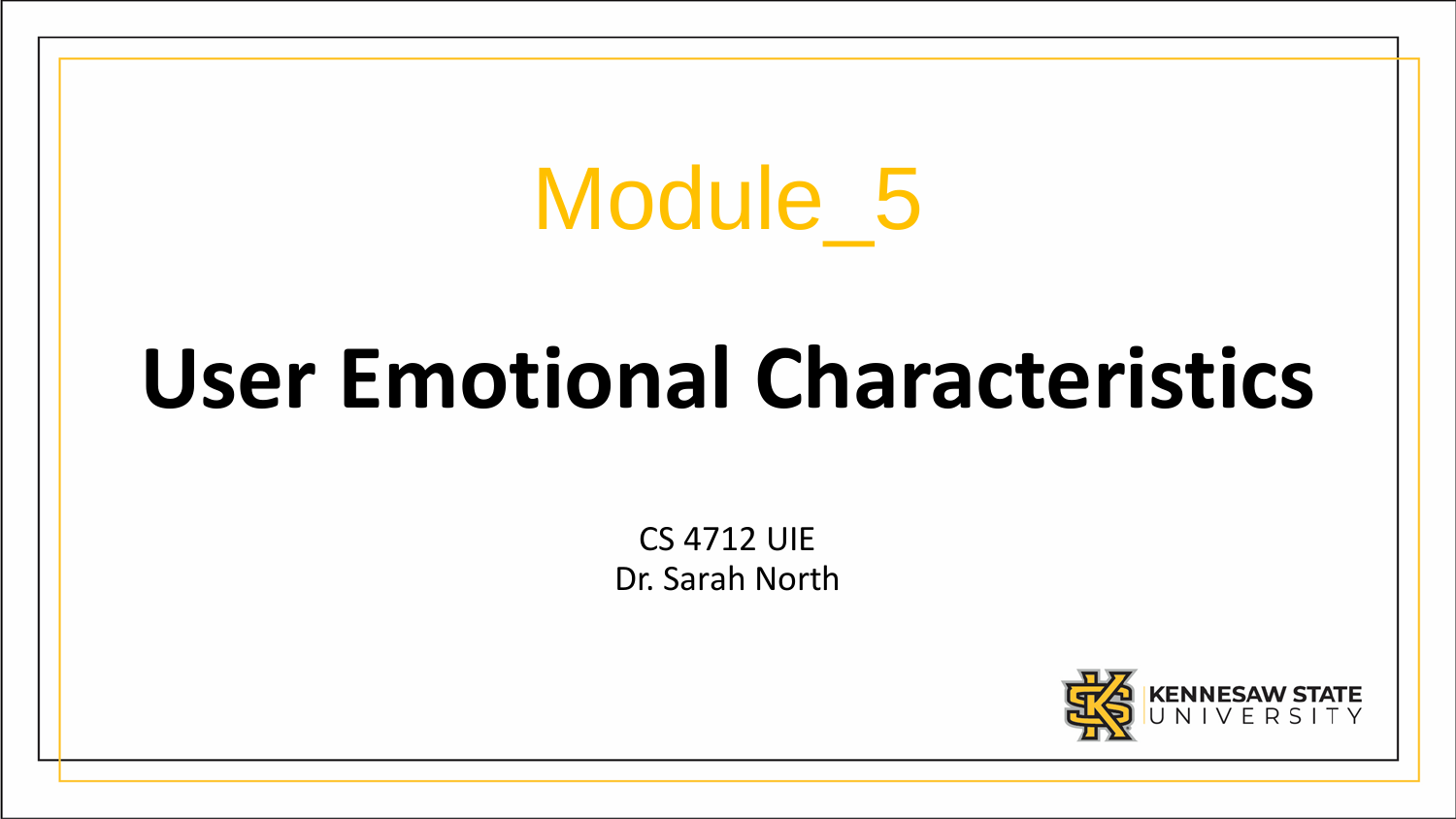# Module\_5

# **User Emotional Characteristics**

CS 4712 UIE Dr. Sarah North

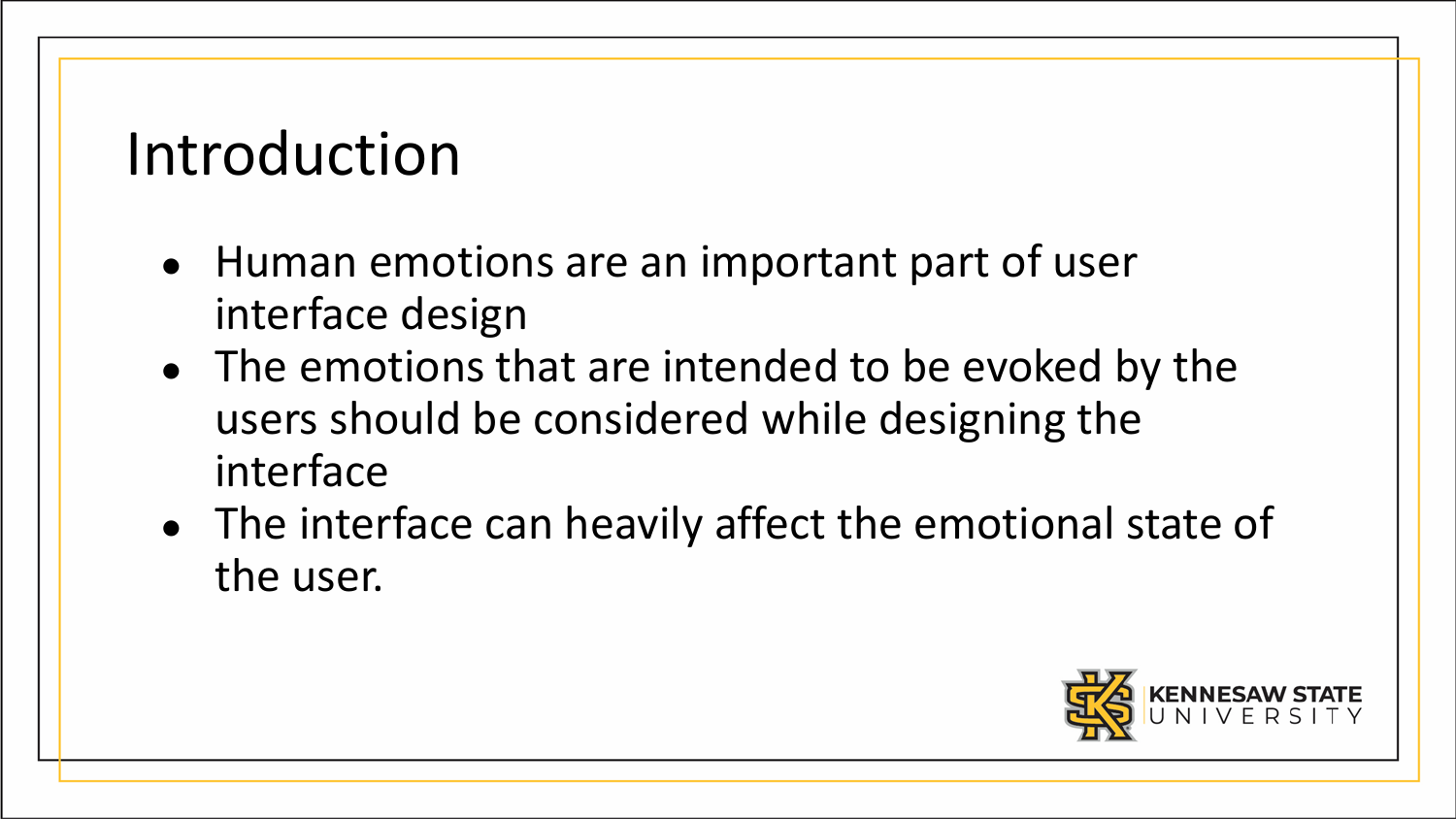#### Introduction

- Human emotions are an important part of user interface design
- The emotions that are intended to be evoked by the users should be considered while designing the interface
- The interface can heavily affect the emotional state of the user.

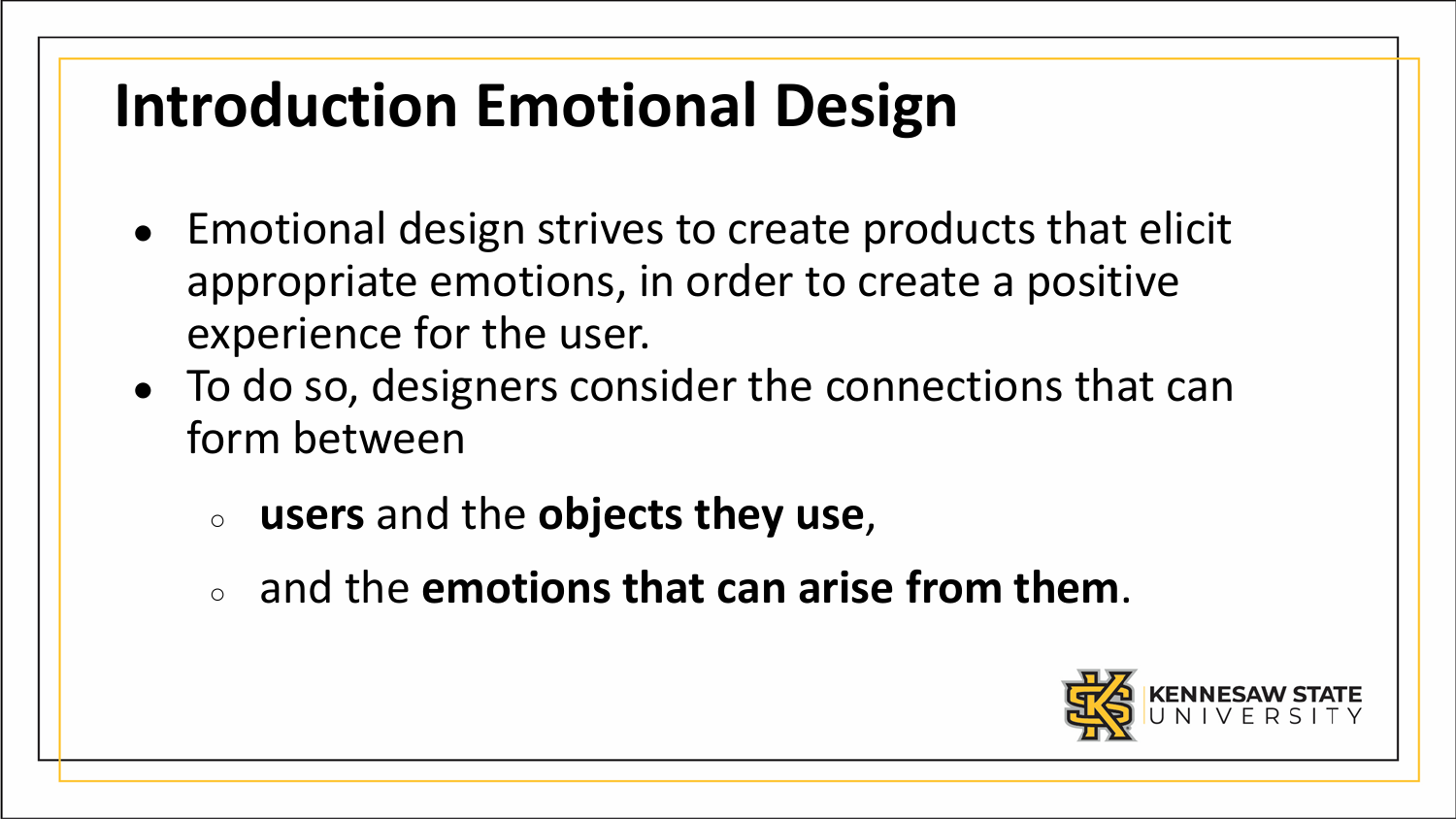# **Introduction Emotional Design**

- Emotional design strives to create products that elicit appropriate emotions, in order to create a positive experience for the user.
- To do so, designers consider the connections that can form between
	- **users** and the **objects they use**,
	- and the **emotions that can arise from them**.

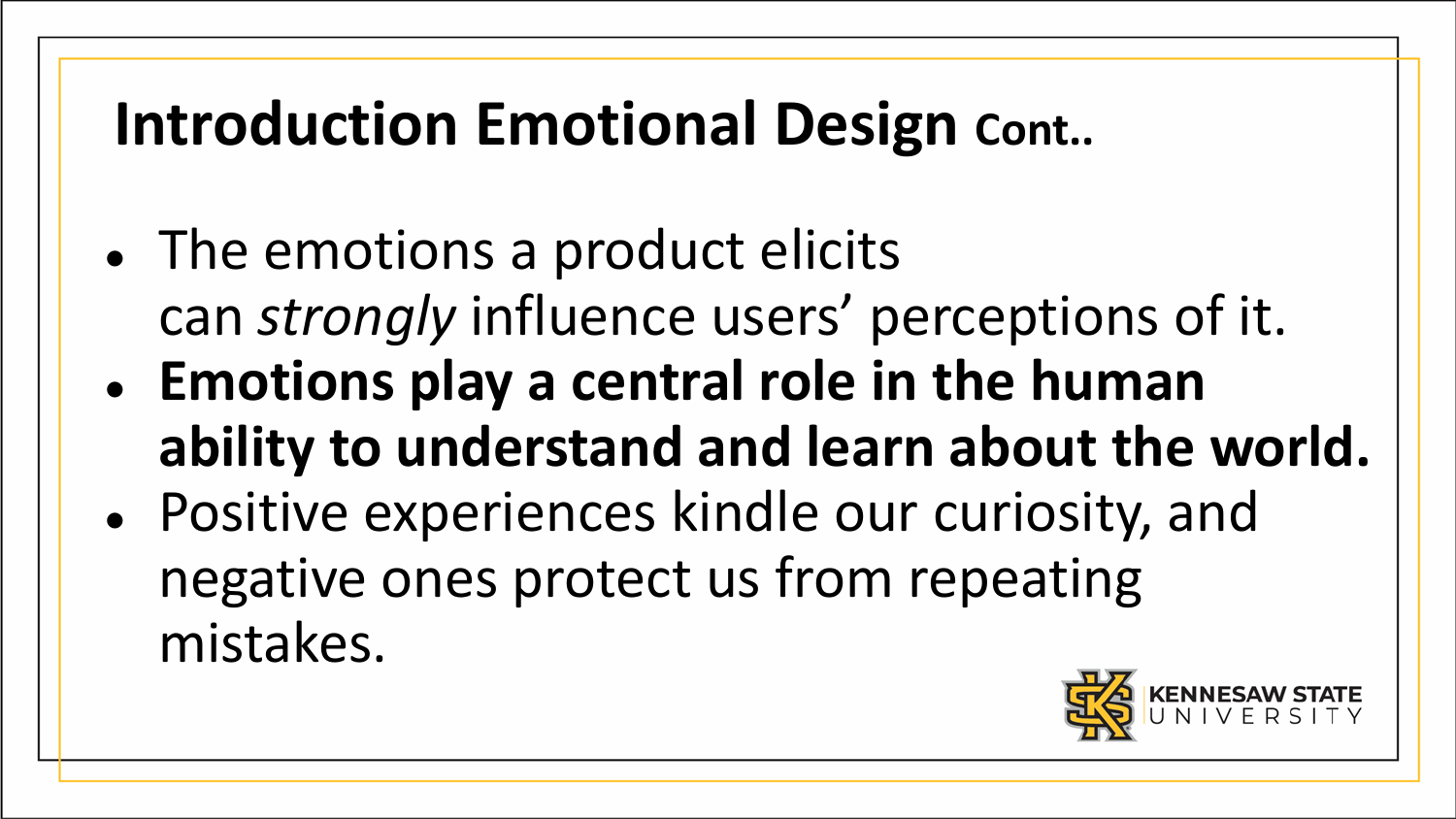# **Introduction Emotional Design Cont..**

- The emotions a product elicits can *strongly* influence users' perceptions of it.
- **Emotions play a central role in the human ability to understand and learn about the world.**
- Positive experiences kindle our curiosity, and negative ones protect us from repeating mistakes.

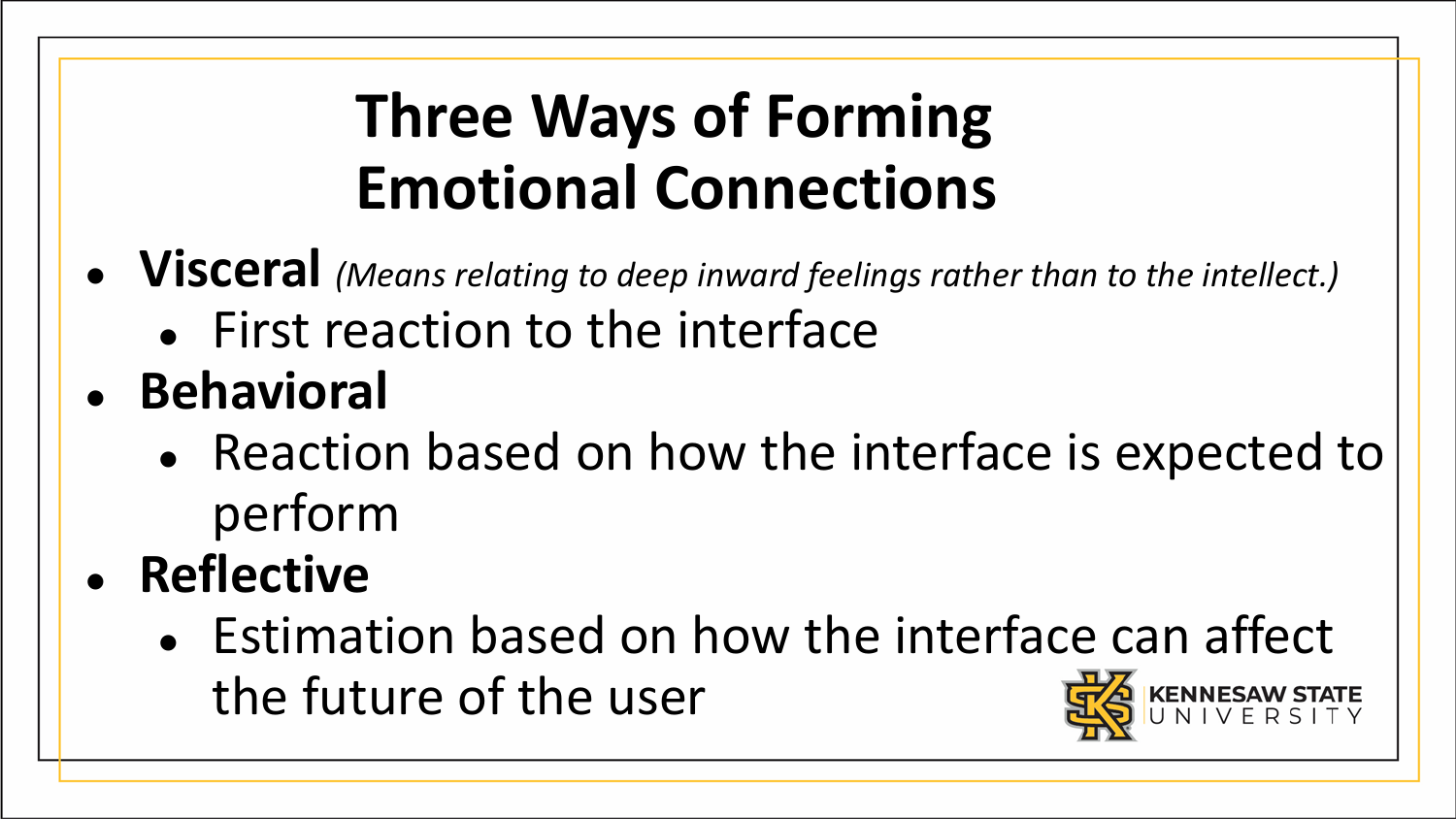# **Three Ways of Forming Emotional Connections**

- **Visceral** *(Means relating to deep inward feelings rather than to the intellect.)*
	- First reaction to the interface
- **Behavioral**
	- Reaction based on how the interface is expected to perform
- **Reflective**
	- Estimation based on how the interface can affect the future of the user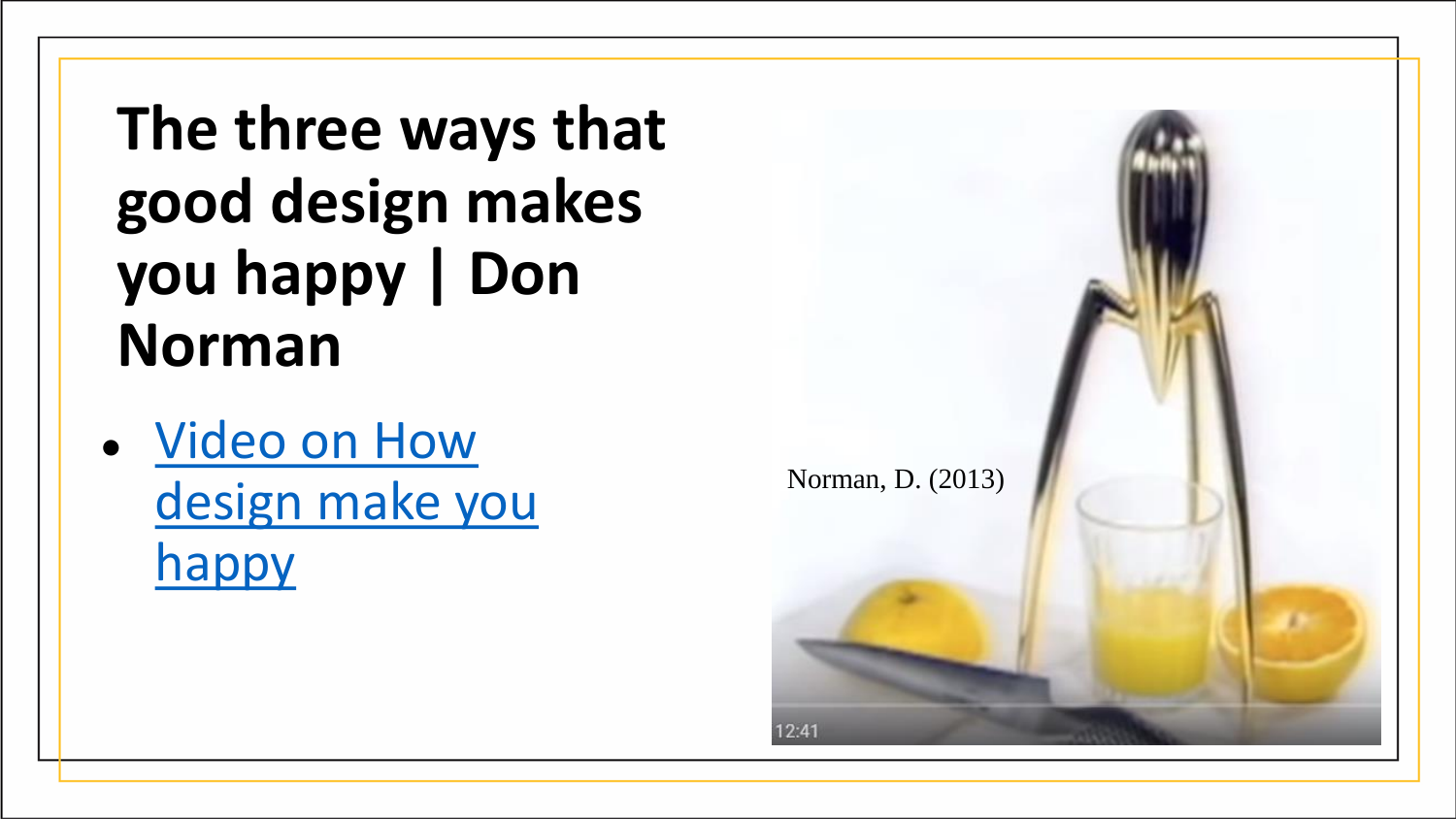**The three ways that good design makes you happy | Don Norman**

● Video on How [design make you](https://www.youtube.com/watch?v=RlQEoJaLQRA) **happy** 

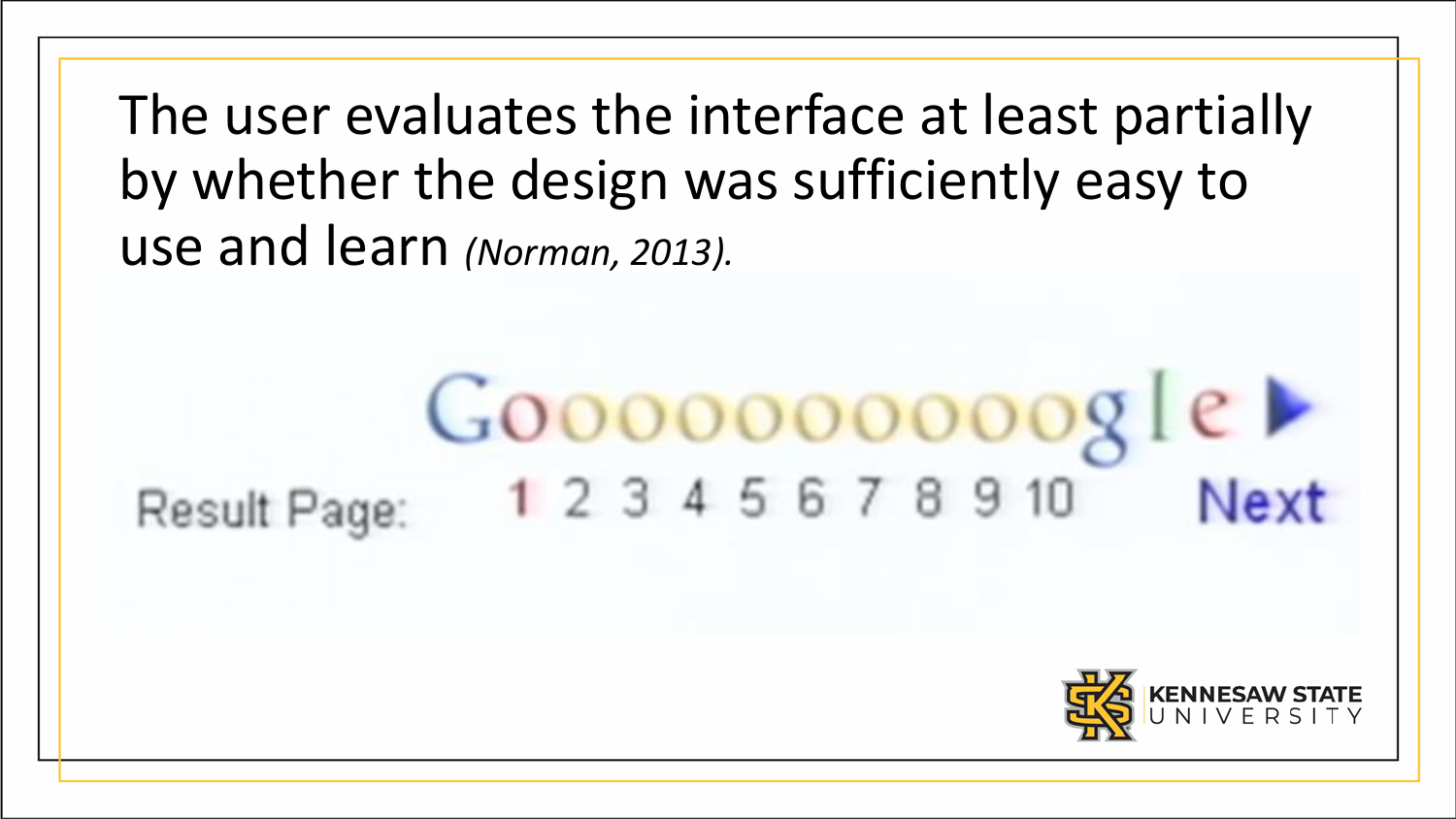The user evaluates the interface at least partially by whether the design was sufficiently easy to use and learn *(Norman, 2013).*

#### $Google \triangleright$ 1 2 3 4 5 6 7 8 9 10 **Next** Result Page:

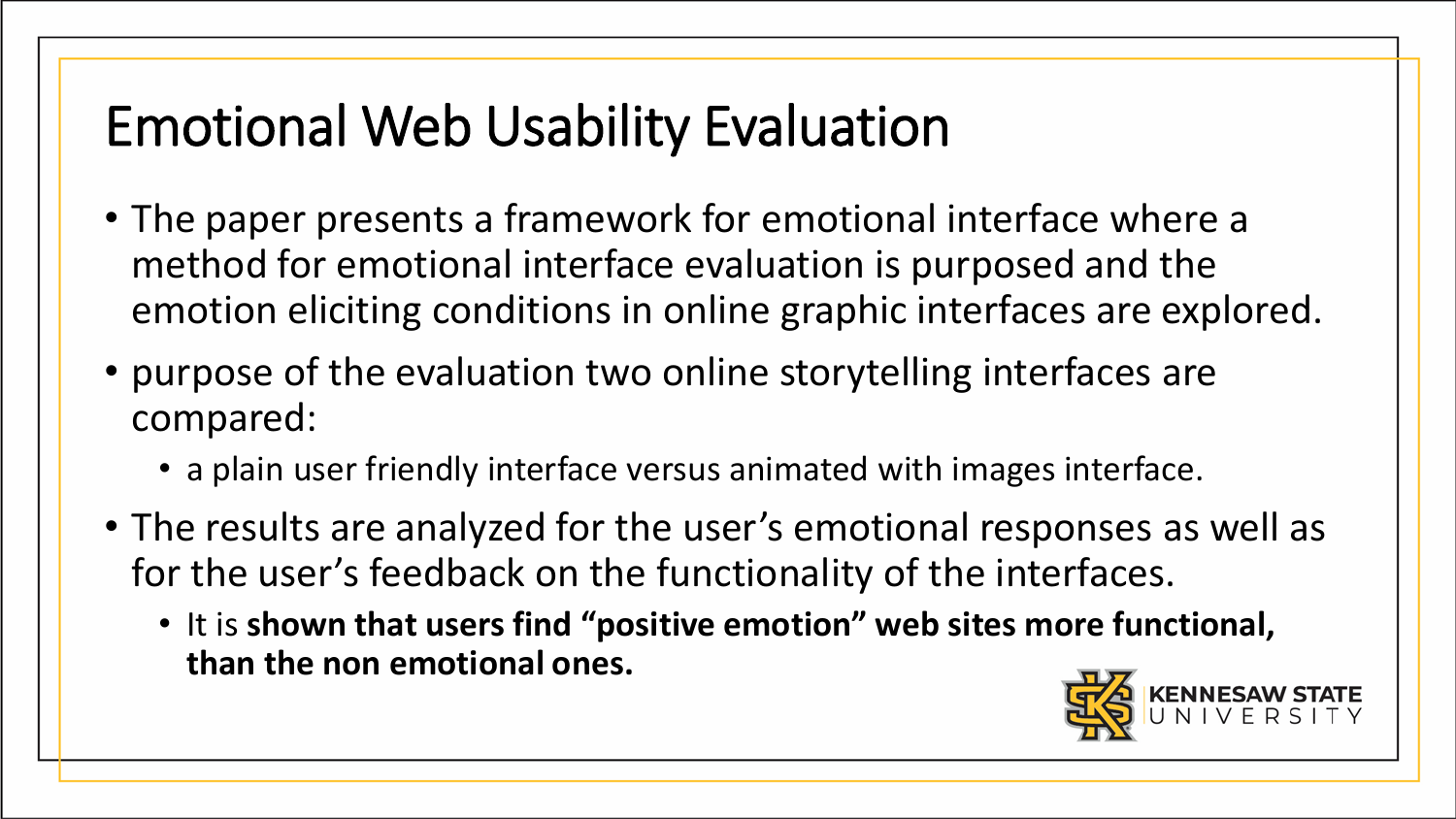#### Emotional Web Usability Evaluation

- The paper presents a framework for emotional interface where a method for emotional interface evaluation is purposed and the emotion eliciting conditions in online graphic interfaces are explored.
- purpose of the evaluation two online storytelling interfaces are compared:
	- a plain user friendly interface versus animated with images interface.
- The results are analyzed for the user's emotional responses as well as for the user's feedback on the functionality of the interfaces.
	- It is **shown that users find "positive emotion" web sites more functional, than the non emotional ones.**

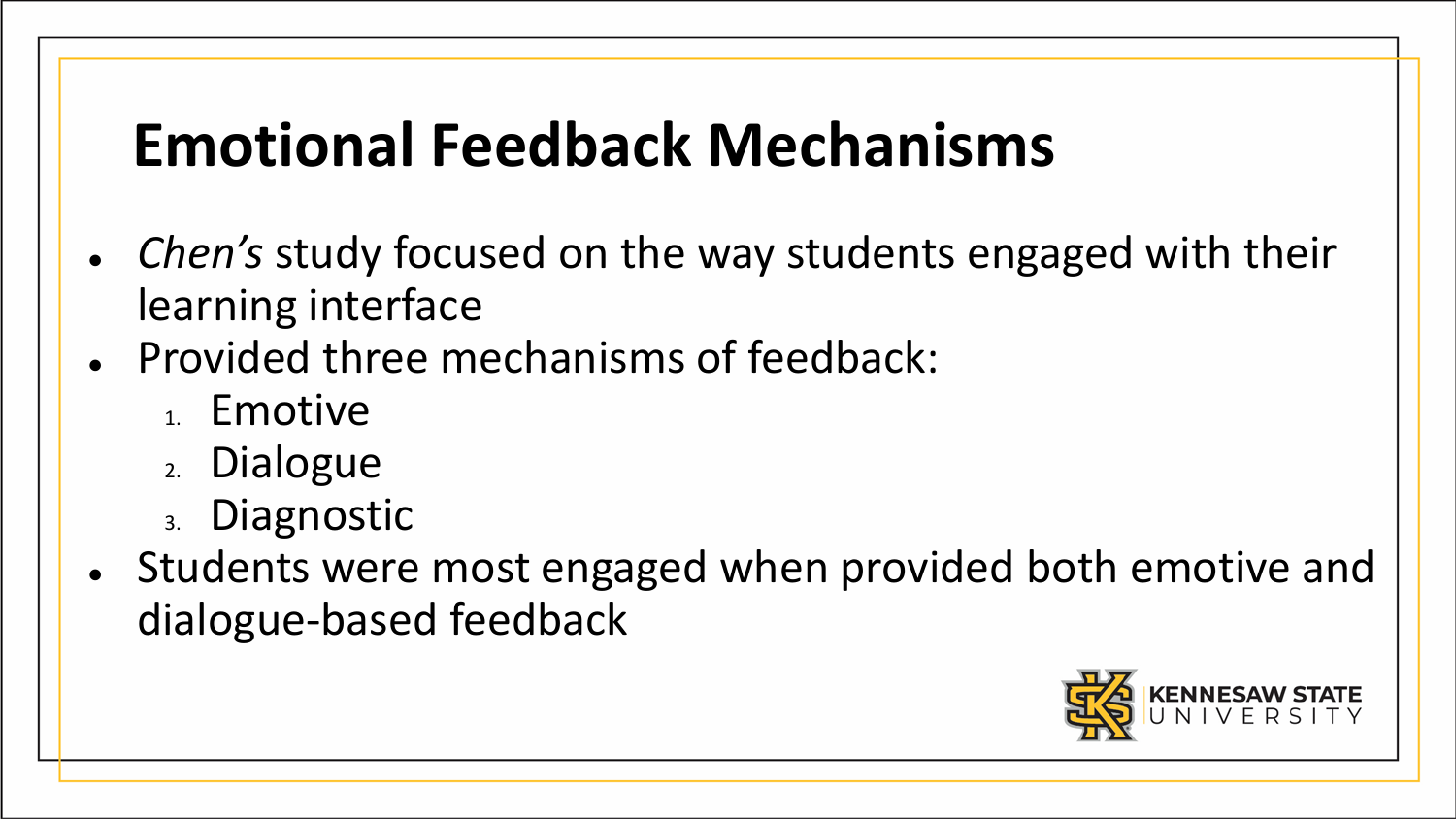# **Emotional Feedback Mechanisms**

- *Chen's* study focused on the way students engaged with their learning interface
- Provided three mechanisms of feedback:
	- 1. Emotive
	- 2. Dialogue
	- 3. Diagnostic
- Students were most engaged when provided both emotive and dialogue-based feedback

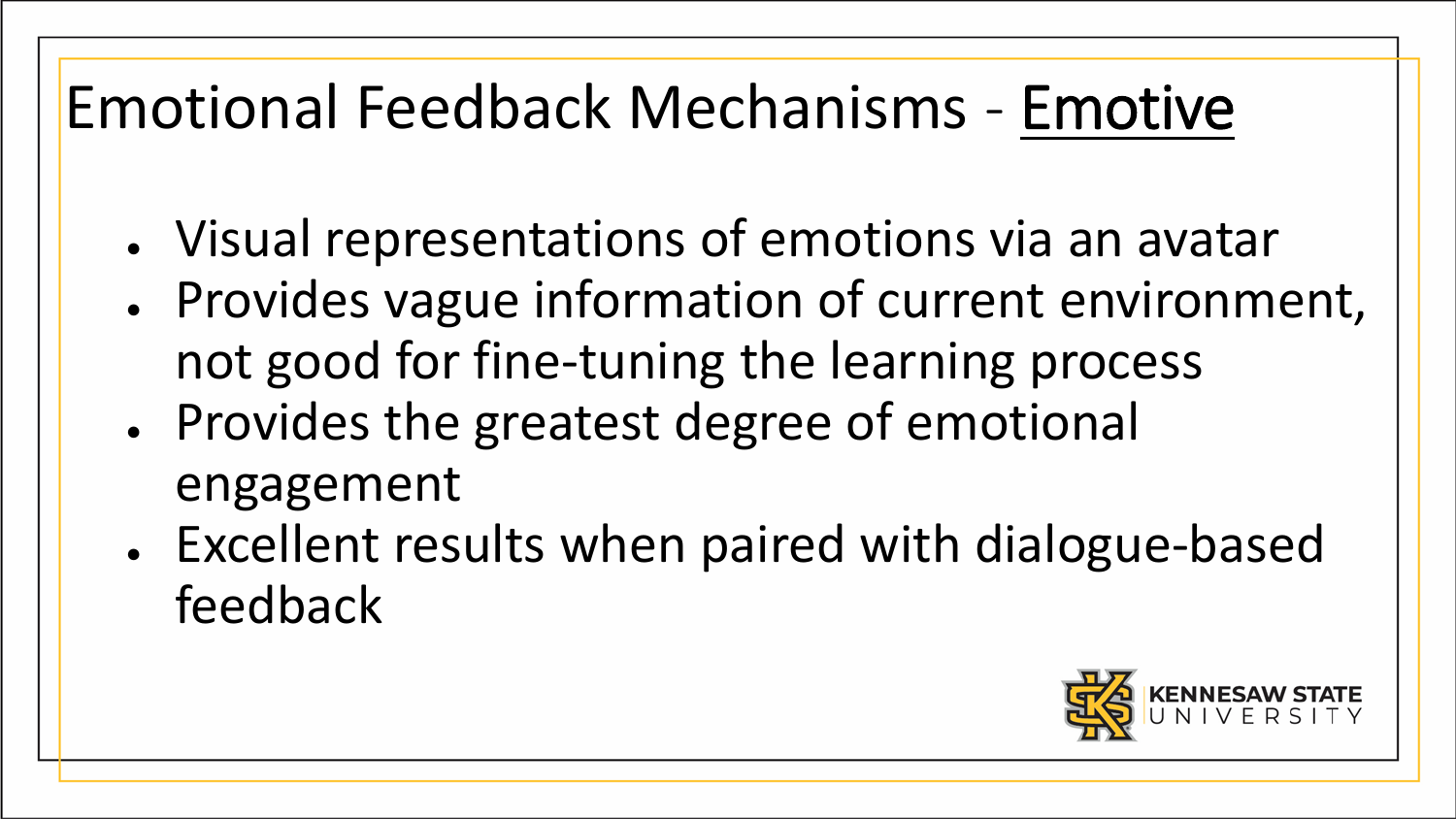# Emotional Feedback Mechanisms - Emotive

- Visual representations of emotions via an avatar
- Provides vague information of current environment, not good for fine-tuning the learning process
- Provides the greatest degree of emotional engagement
- Excellent results when paired with dialogue-based feedback

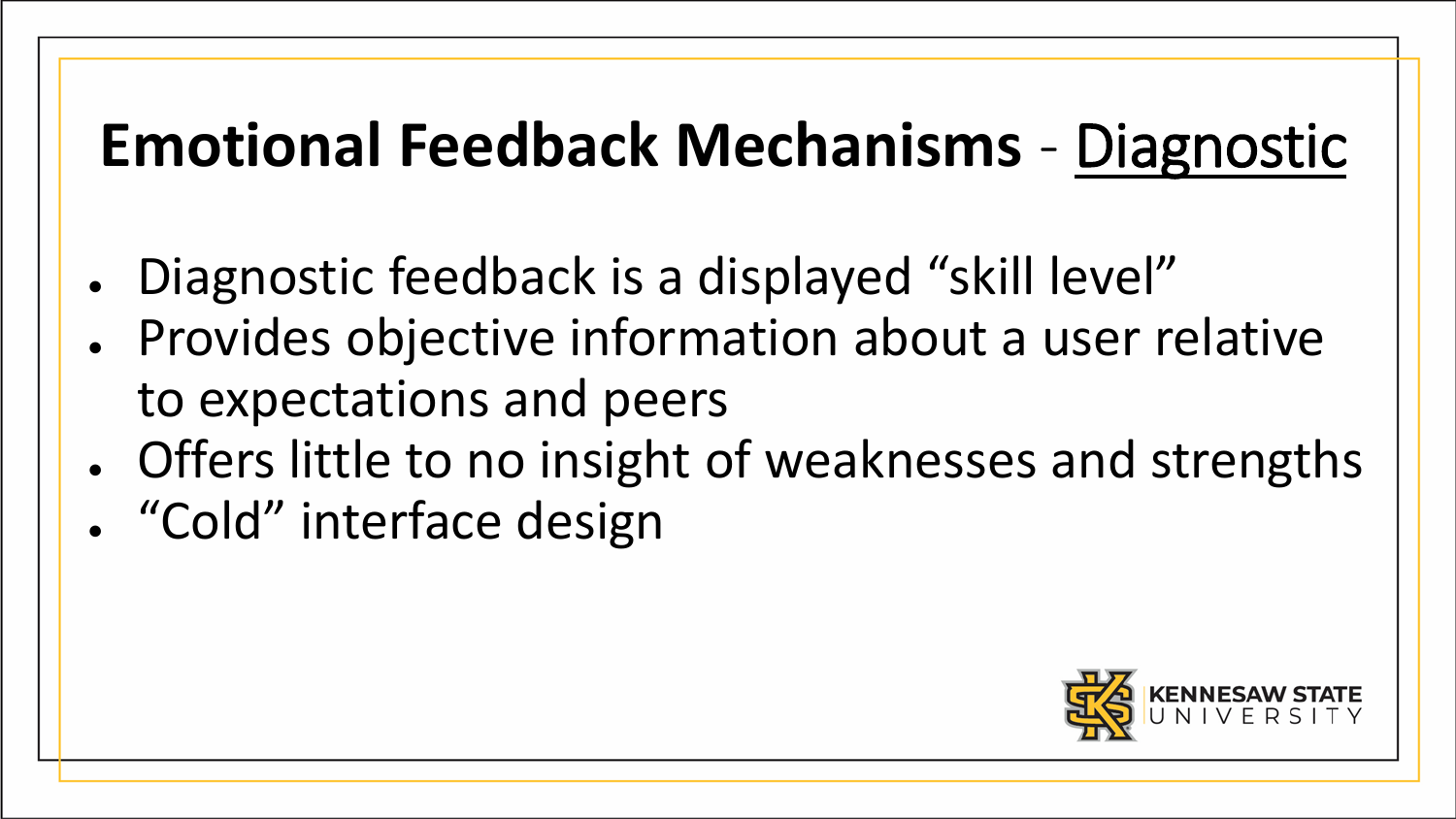# **Emotional Feedback Mechanisms** - Diagnostic

- Diagnostic feedback is a displayed "skill level"
- Provides objective information about a user relative to expectations and peers
- Offers little to no insight of weaknesses and strengths • "Cold" interface design

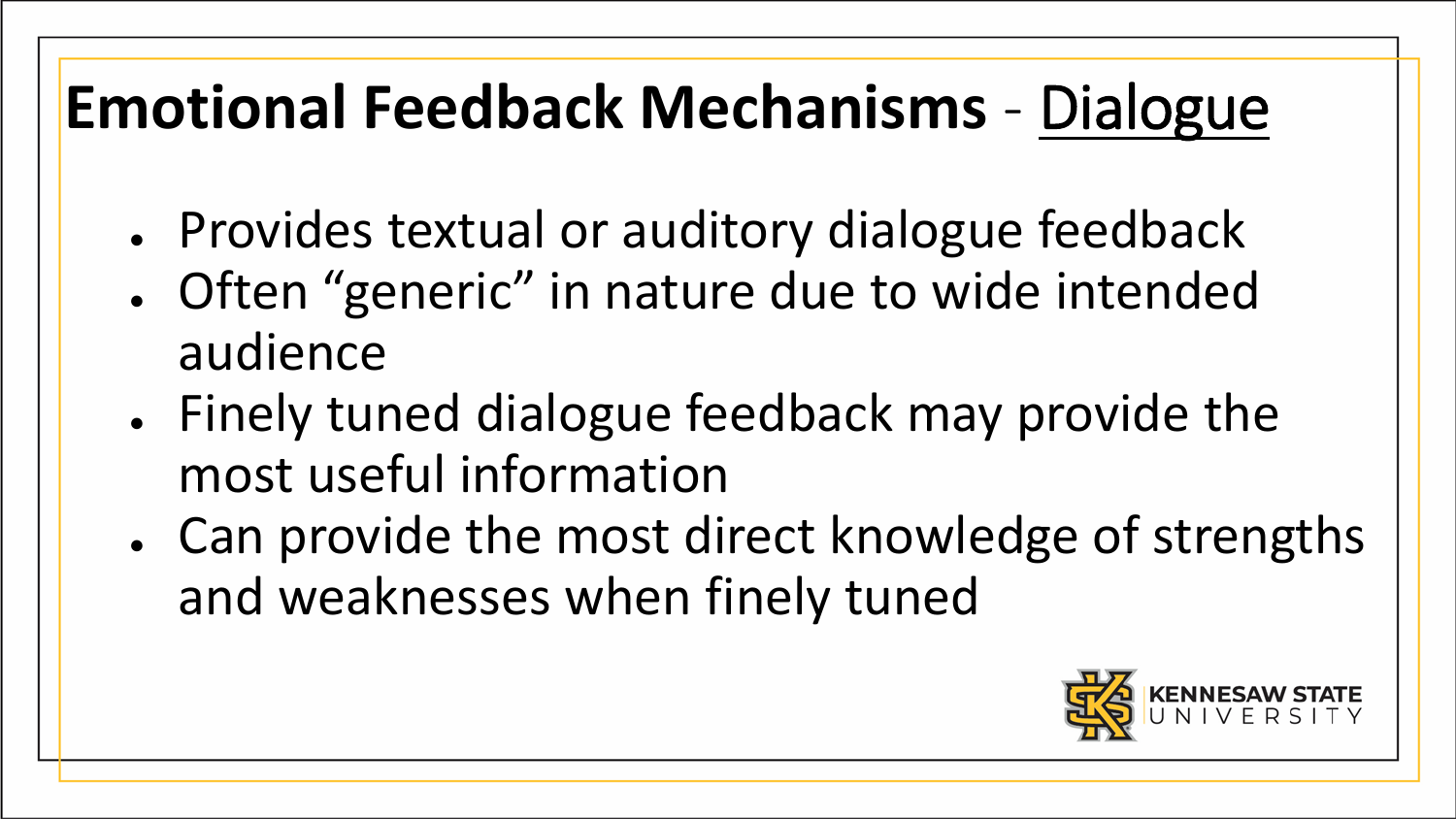# **Emotional Feedback Mechanisms** - Dialogue

- Provides textual or auditory dialogue feedback
- Often "generic" in nature due to wide intended audience
- Finely tuned dialogue feedback may provide the most useful information
- Can provide the most direct knowledge of strengths and weaknesses when finely tuned

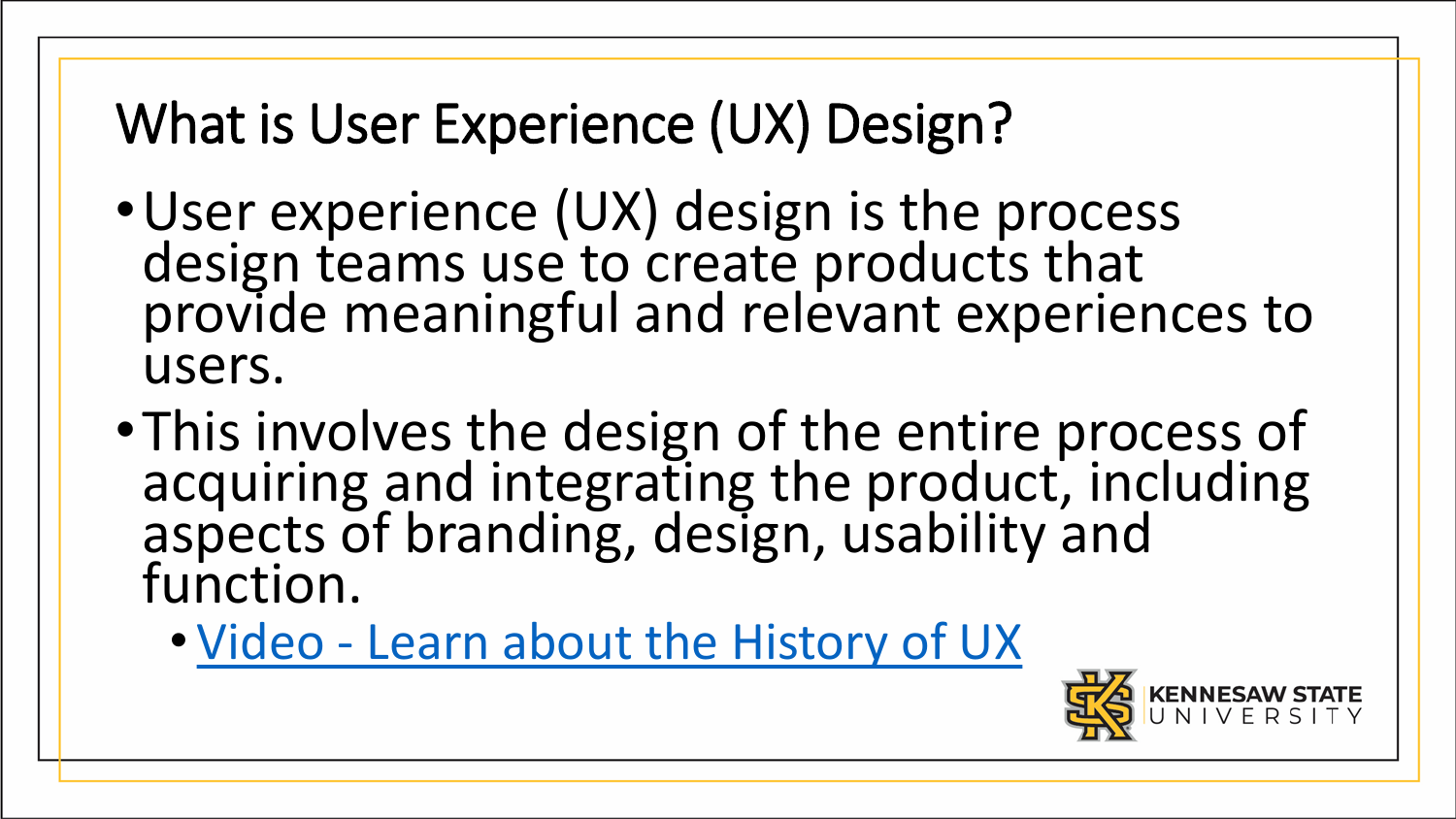#### What is User Experience (UX) Design?

- •User experience (UX) design is the process design teams use to create products that provide meaningful and relevant experiences to users.
- •This involves the design of the entire process of acquiring and integrating the product, including aspects of branding, design, usability and function.
	- Video [Learn about the History of UX](https://www.interaction-design.org/literature/topics/ux-design)

![](_page_12_Picture_4.jpeg)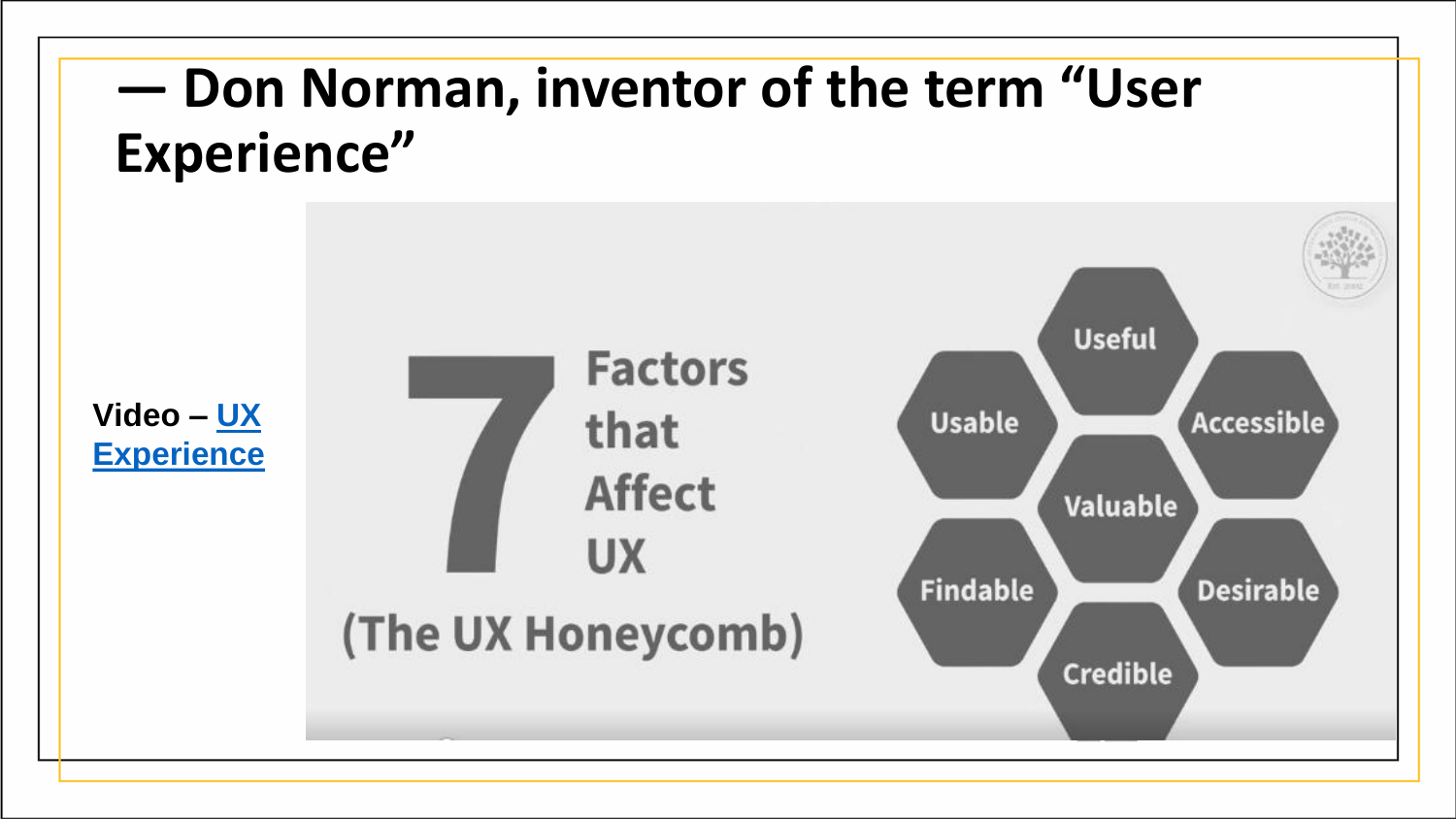#### **— Don Norman, inventor of the term "User Experience"**

![](_page_13_Figure_1.jpeg)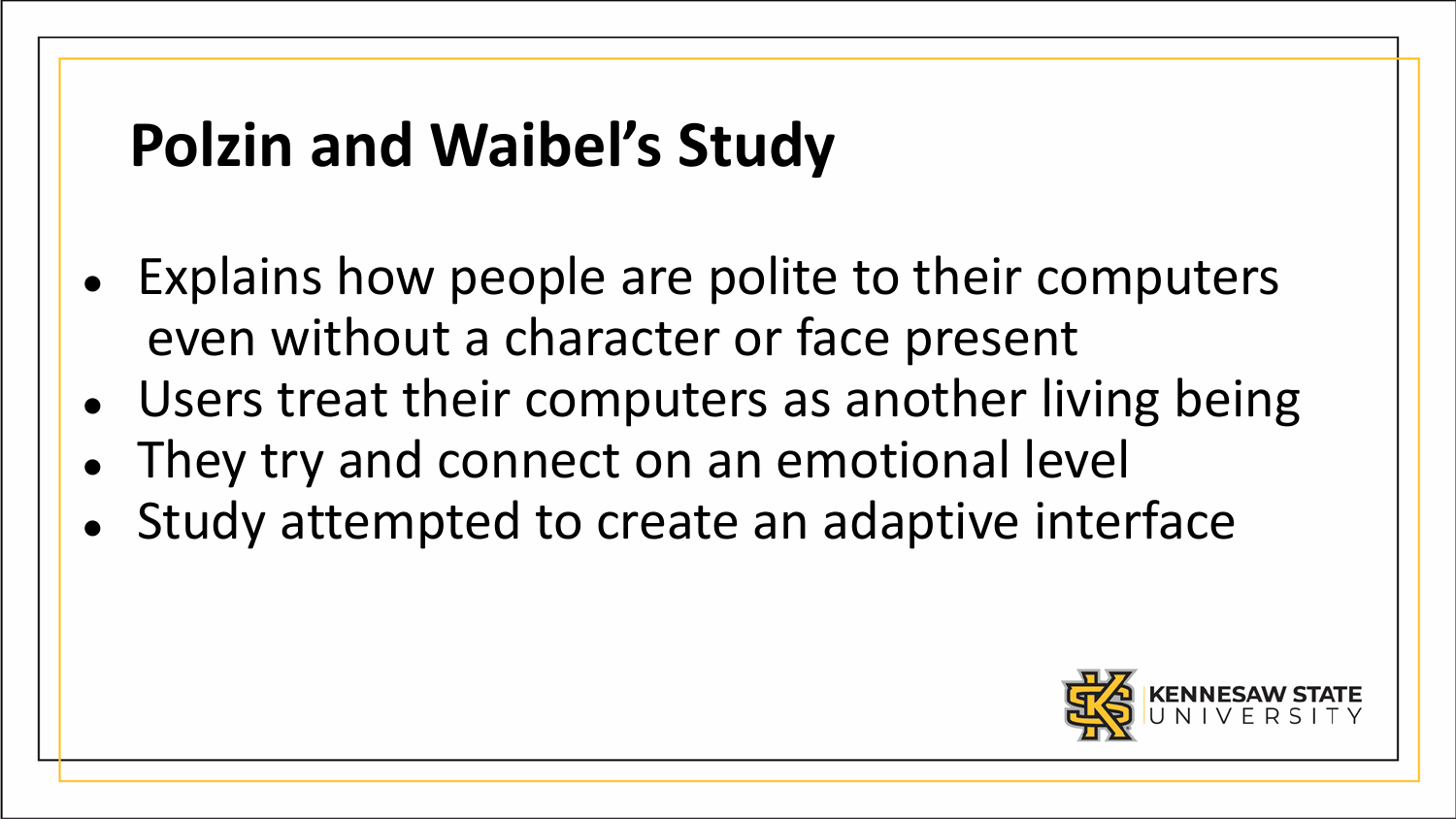# **Polzin and Waibel's Study**

- Explains how people are polite to their computers even without a character or face present
- Users treat their computers as another living being
- They try and connect on an emotional level
- Study attempted to create an adaptive interface

![](_page_14_Picture_5.jpeg)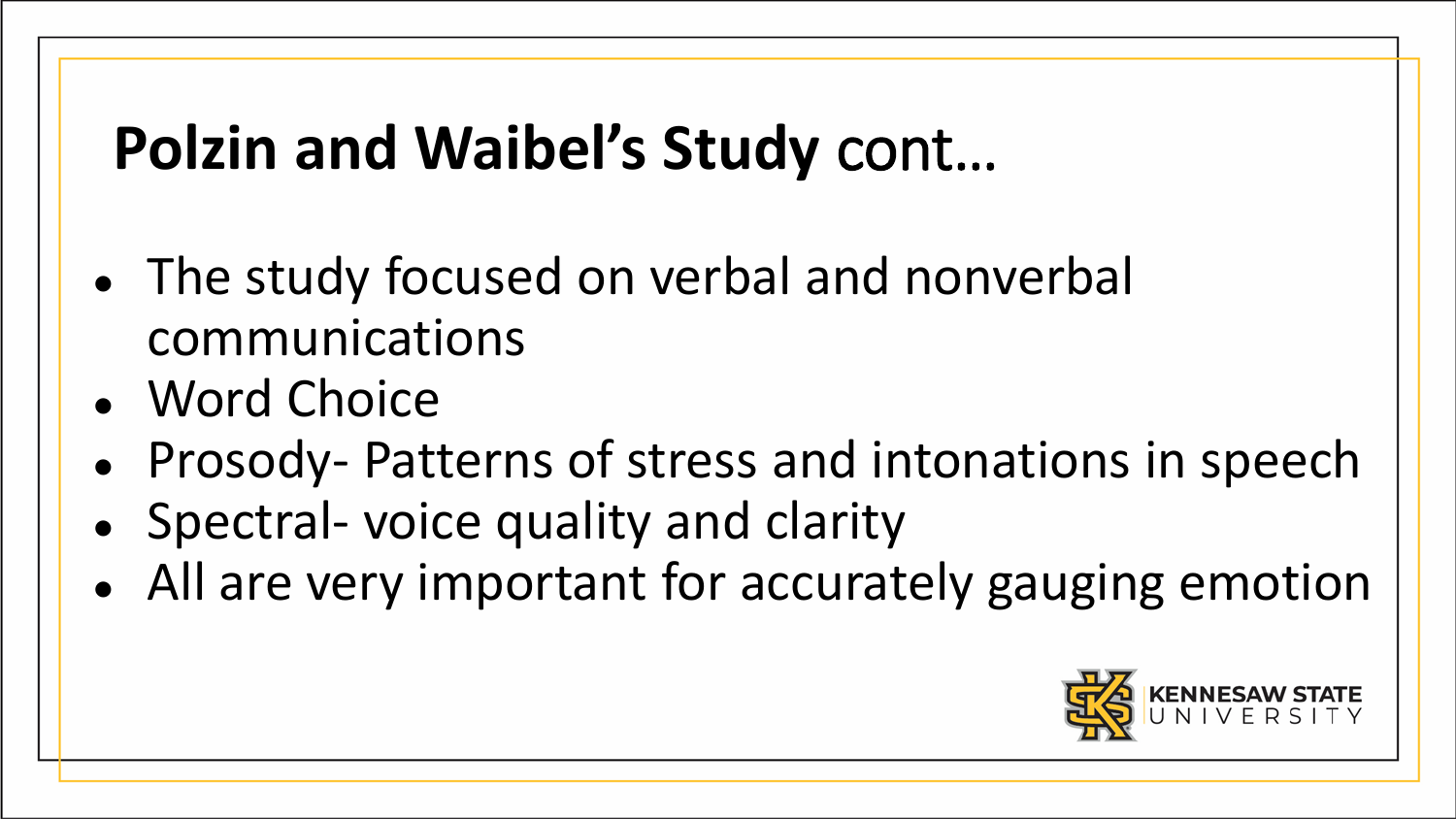# **Polzin and Waibel's Study** cont…

- The study focused on verbal and nonverbal communications
- Word Choice
- Prosody- Patterns of stress and intonations in speech
- Spectral-voice quality and clarity
- All are very important for accurately gauging emotion

![](_page_15_Picture_6.jpeg)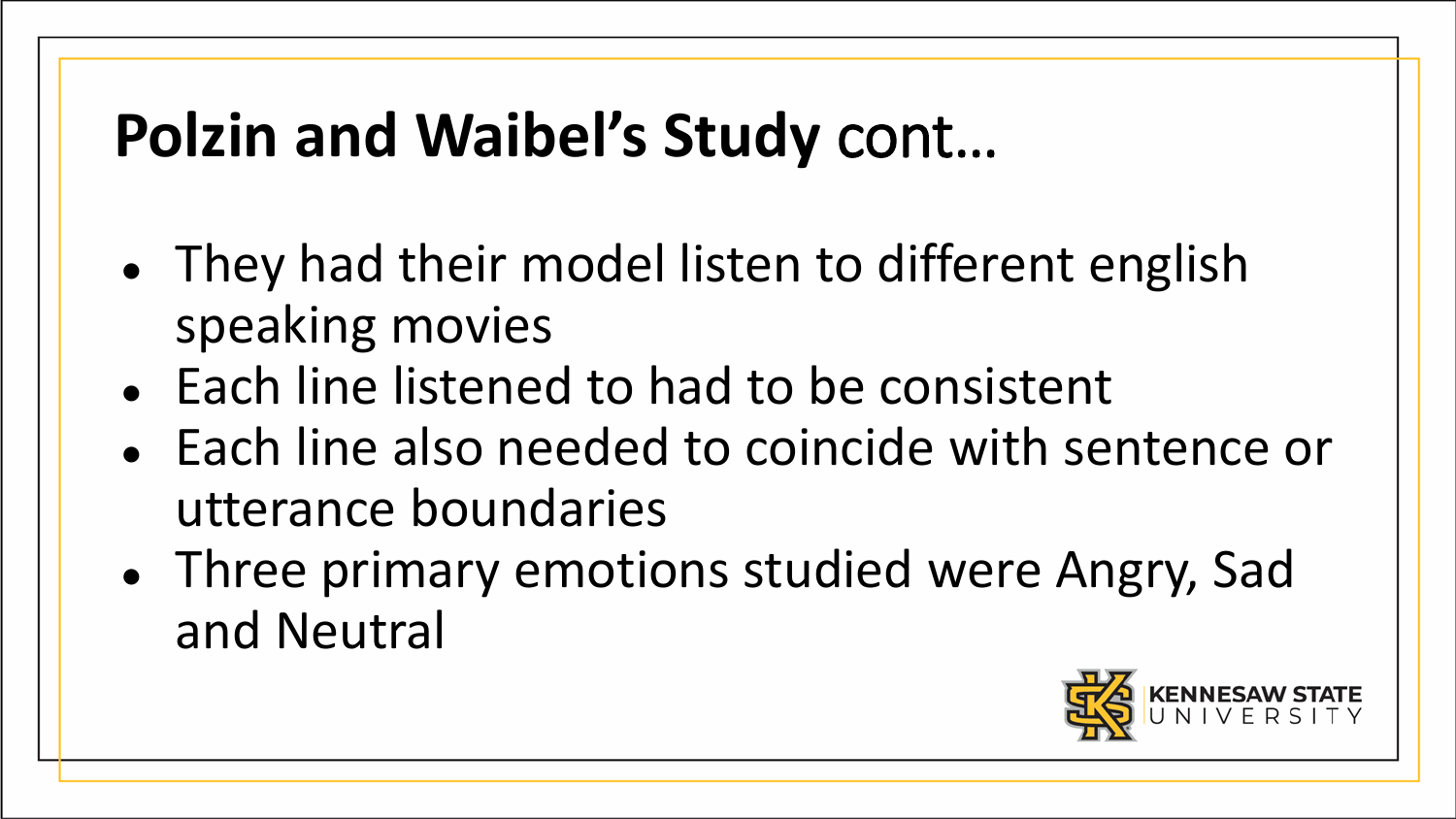# **Polzin and Waibel's Study** cont…

- They had their model listen to different english speaking movies
- Each line listened to had to be consistent
- Each line also needed to coincide with sentence or utterance boundaries
- Three primary emotions studied were Angry, Sad and Neutral

![](_page_16_Picture_5.jpeg)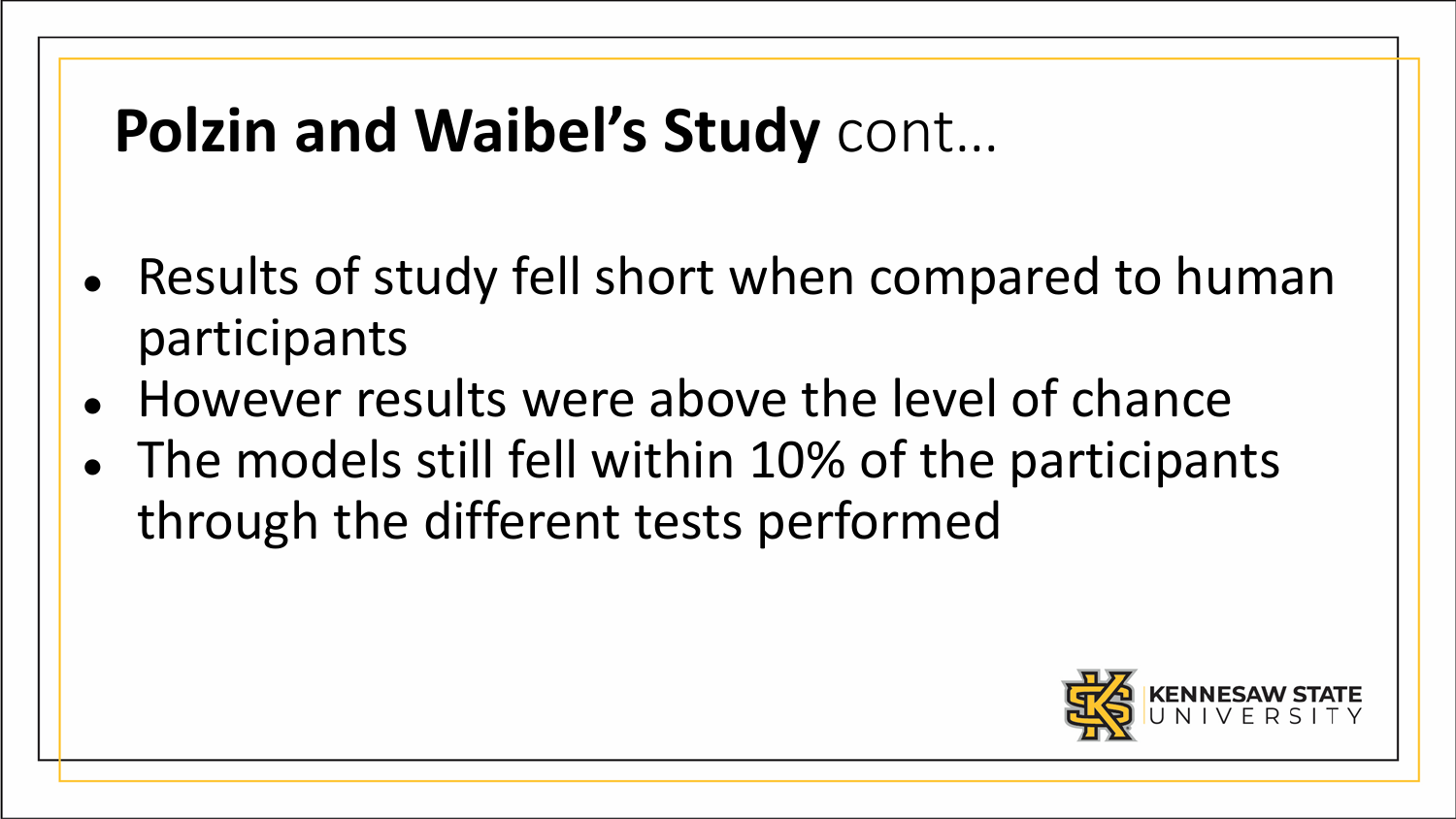# **Polzin and Waibel's Study** cont…

- Results of study fell short when compared to human participants
- However results were above the level of chance
- The models still fell within 10% of the participants through the different tests performed

![](_page_17_Picture_4.jpeg)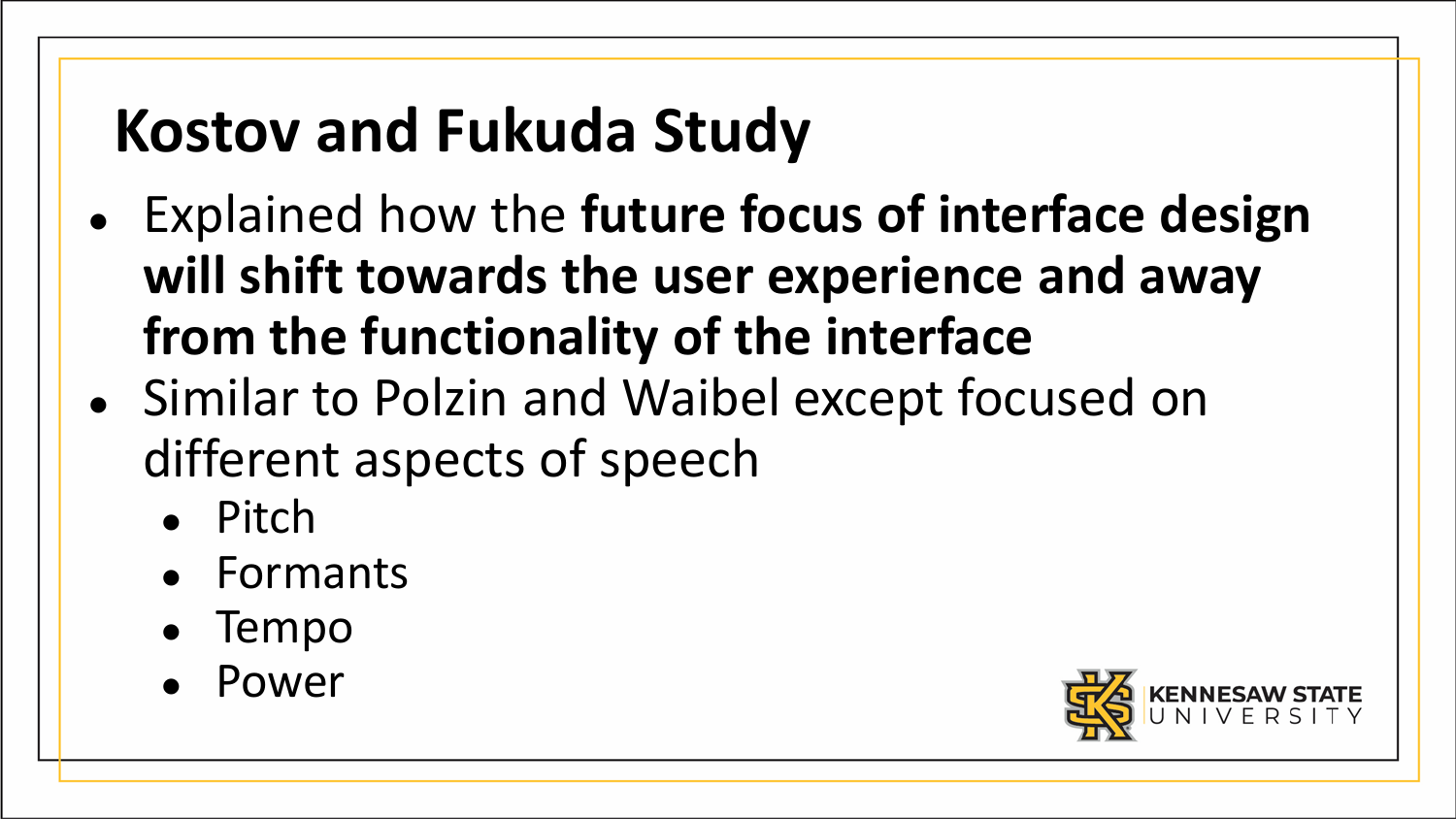# **Kostov and Fukuda Study**

- Explained how the **future focus of interface design will shift towards the user experience and away from the functionality of the interface**
- Similar to Polzin and Waibel except focused on different aspects of speech
	- Pitch
	- Formants
	- Tempo
	- Power

![](_page_18_Picture_7.jpeg)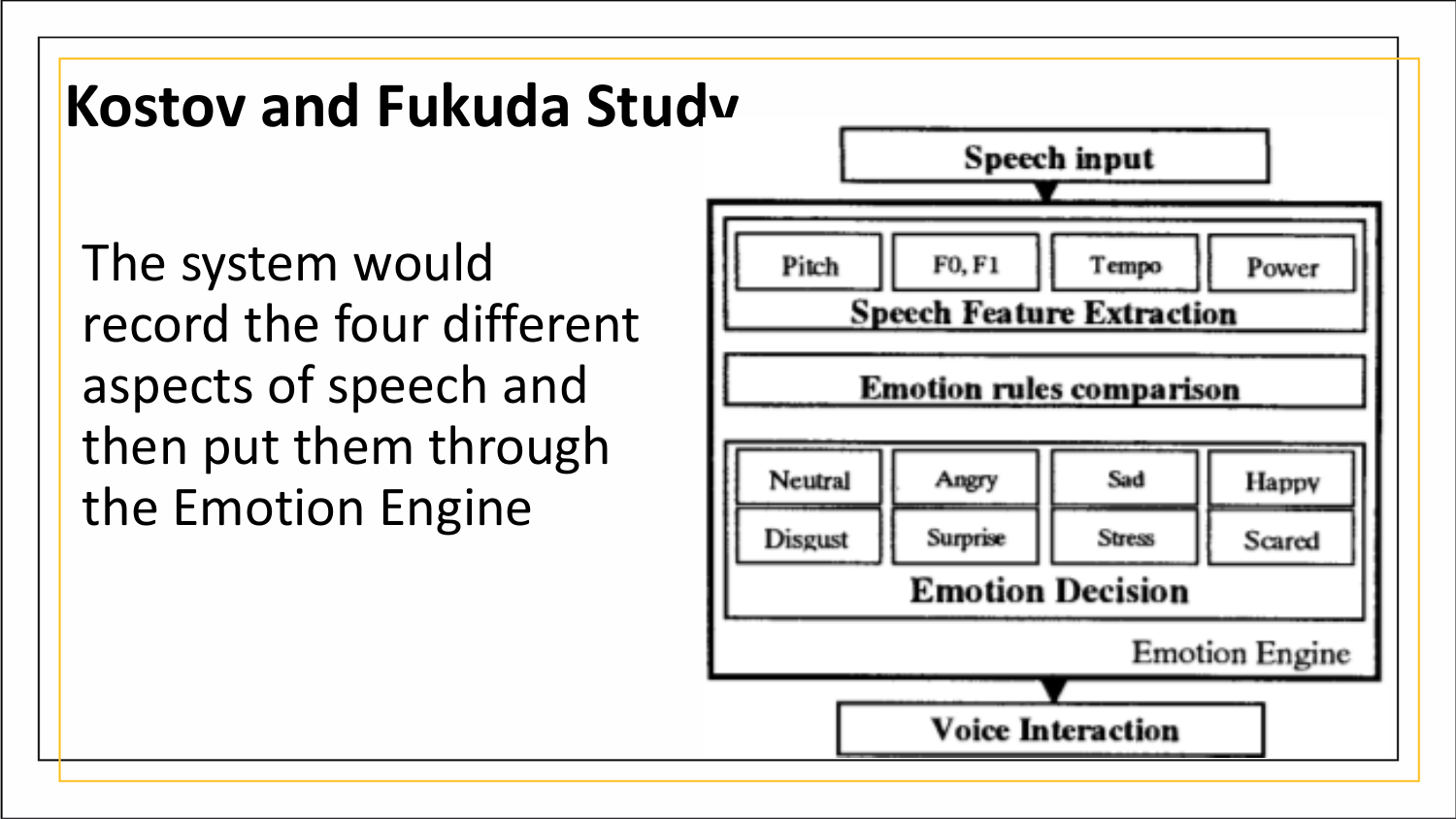### **Kostov and Fukuda Study**

The system would record the four different aspects of speech and then put them through the Emotion Engine

![](_page_19_Figure_2.jpeg)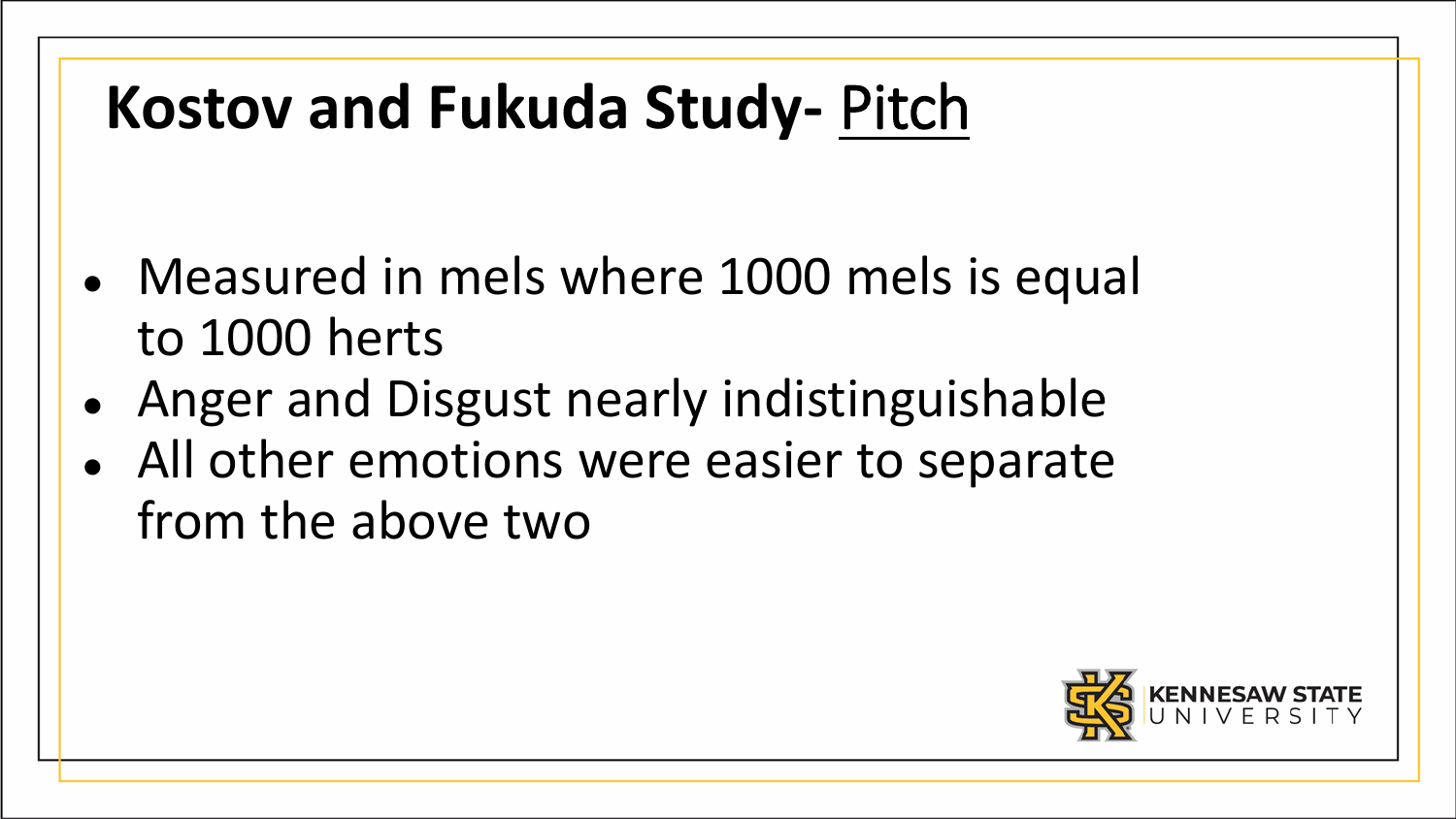# **Kostov and Fukuda Study-** Pitch

- Measured in mels where 1000 mels is equal to 1000 herts
- Anger and Disgust nearly indistinguishable
- All other emotions were easier to separate from the above two

![](_page_20_Picture_4.jpeg)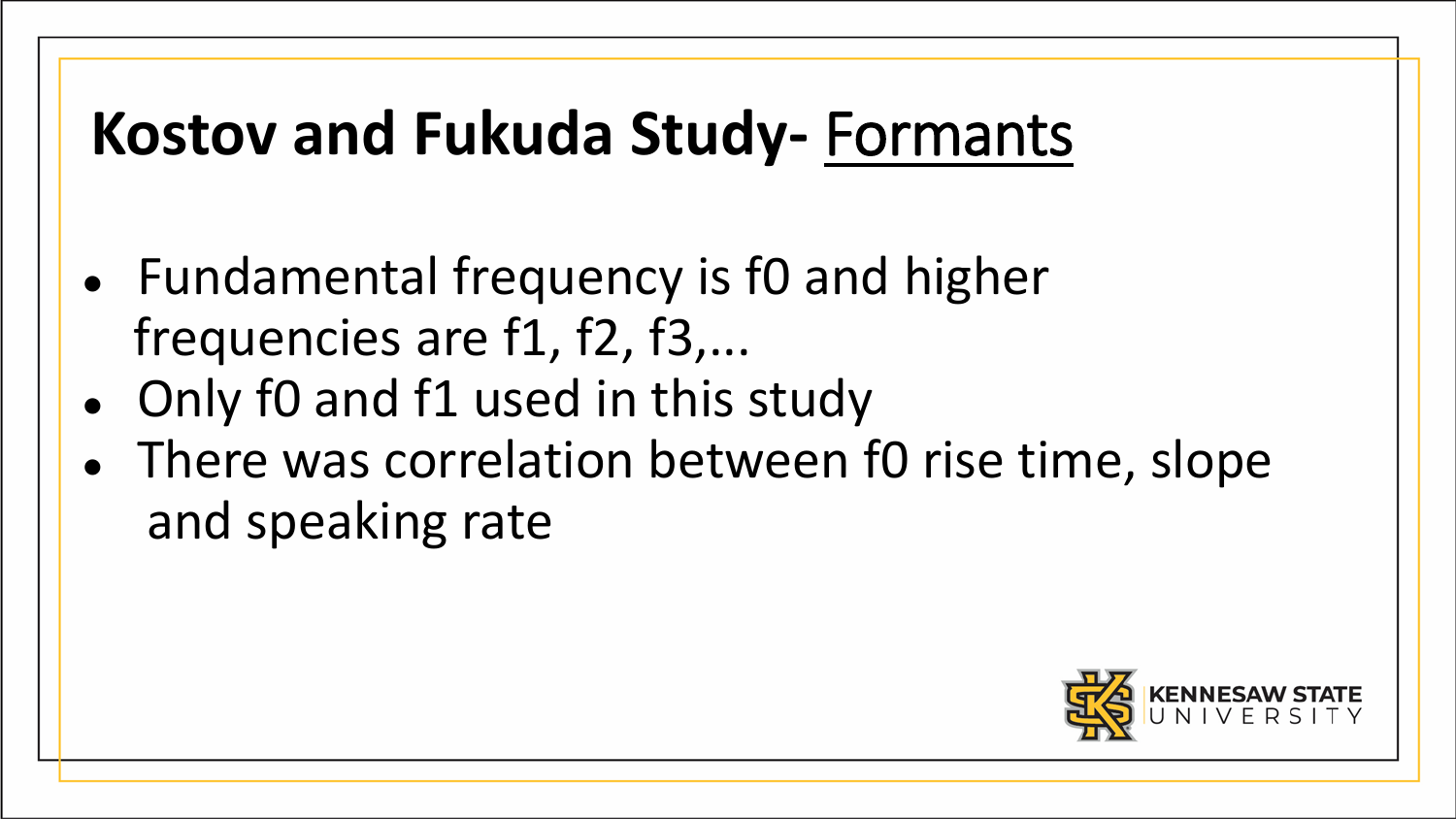# **Kostov and Fukuda Study-** Formants

- Fundamental frequency is f0 and higher frequencies are f1, f2, f3,...
- Only f0 and f1 used in this study
- There was correlation between f0 rise time, slope and speaking rate

![](_page_21_Picture_4.jpeg)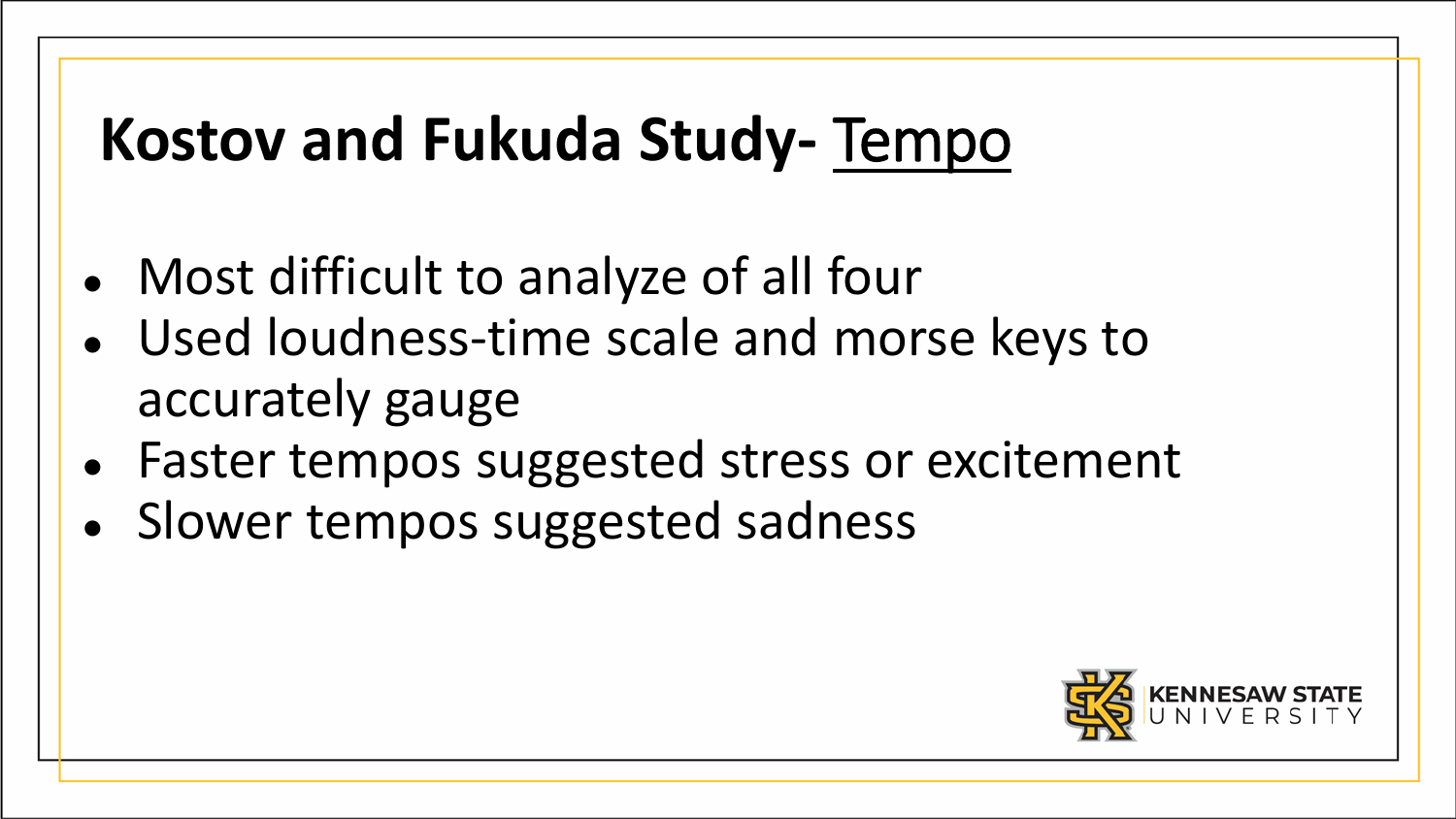# **Kostov and Fukuda Study-** Tempo

- Most difficult to analyze of all four
- Used loudness-time scale and morse keys to accurately gauge
- Faster tempos suggested stress or excitement
- Slower tempos suggested sadness

![](_page_22_Picture_5.jpeg)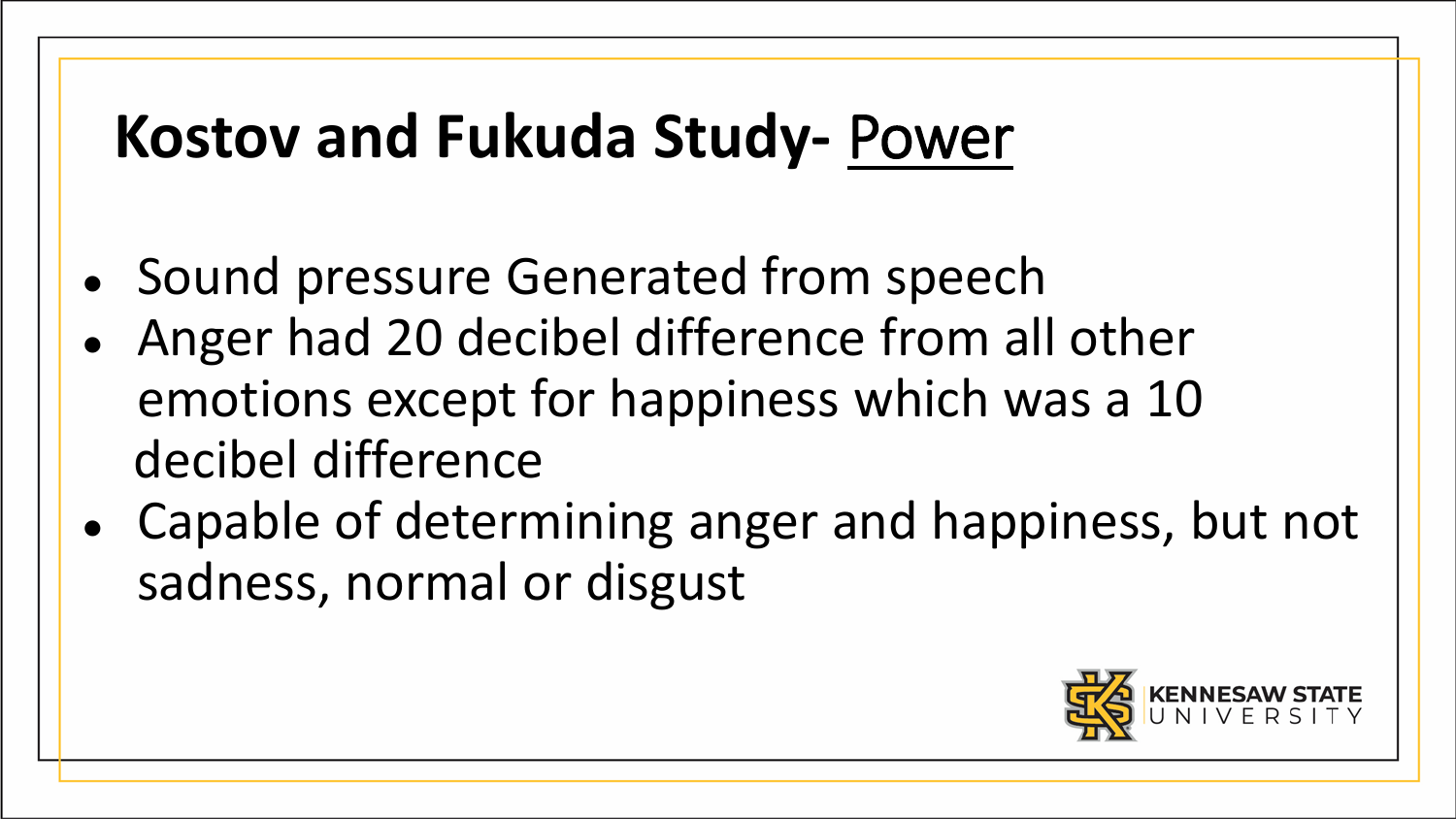# **Kostov and Fukuda Study-** Power

- Sound pressure Generated from speech
- Anger had 20 decibel difference from all other emotions except for happiness which was a 10 decibel difference
- Capable of determining anger and happiness, but not sadness, normal or disgust

![](_page_23_Picture_4.jpeg)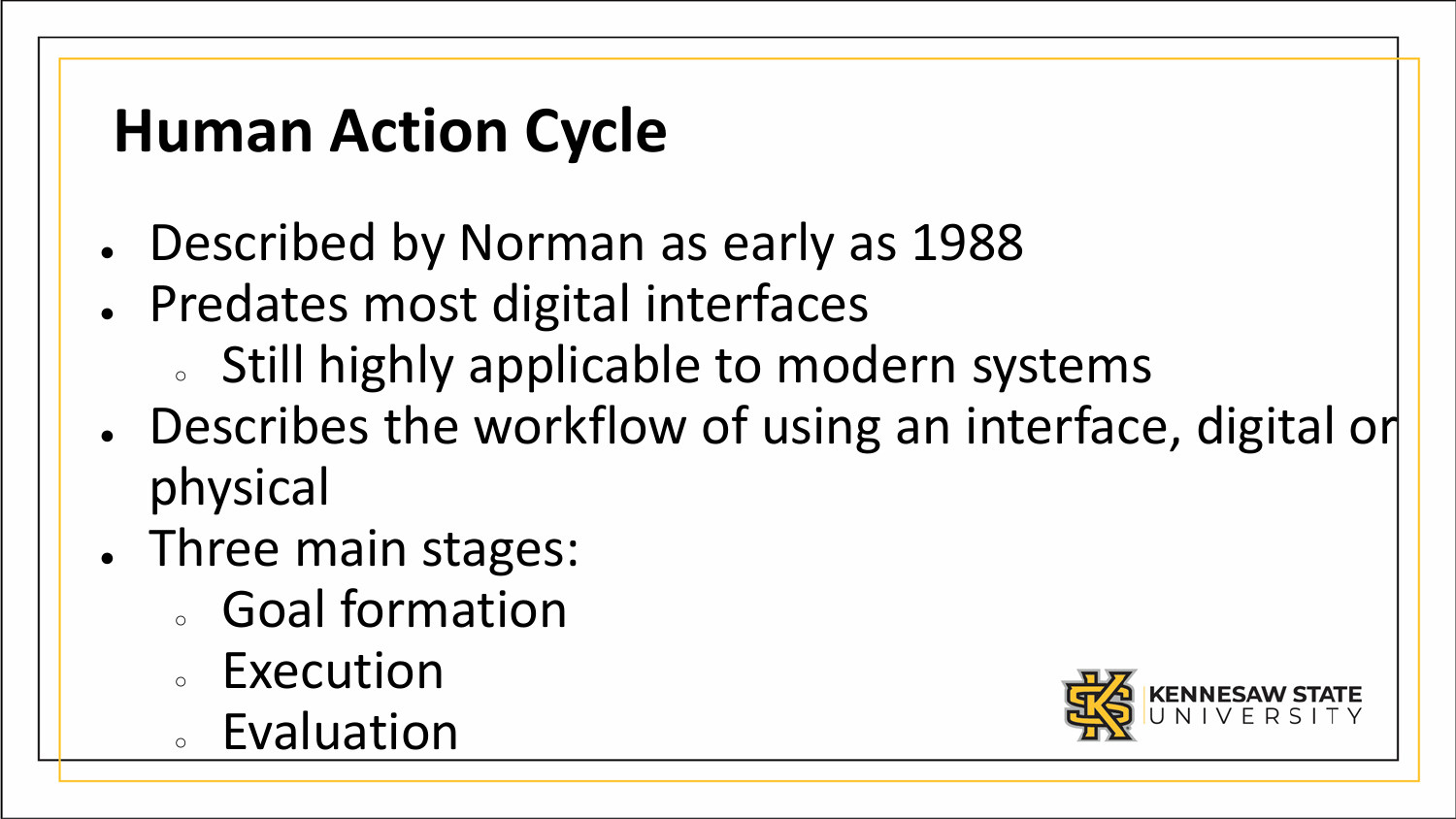# **Human Action Cycle**

- Described by Norman as early as 1988
- Predates most digital interfaces
	- o Still highly applicable to modern systems
- Describes the workflow of using an interface, digital or physical
- Three main stages:
	- Goal formation
	- Execution
	- Evaluation

![](_page_24_Picture_9.jpeg)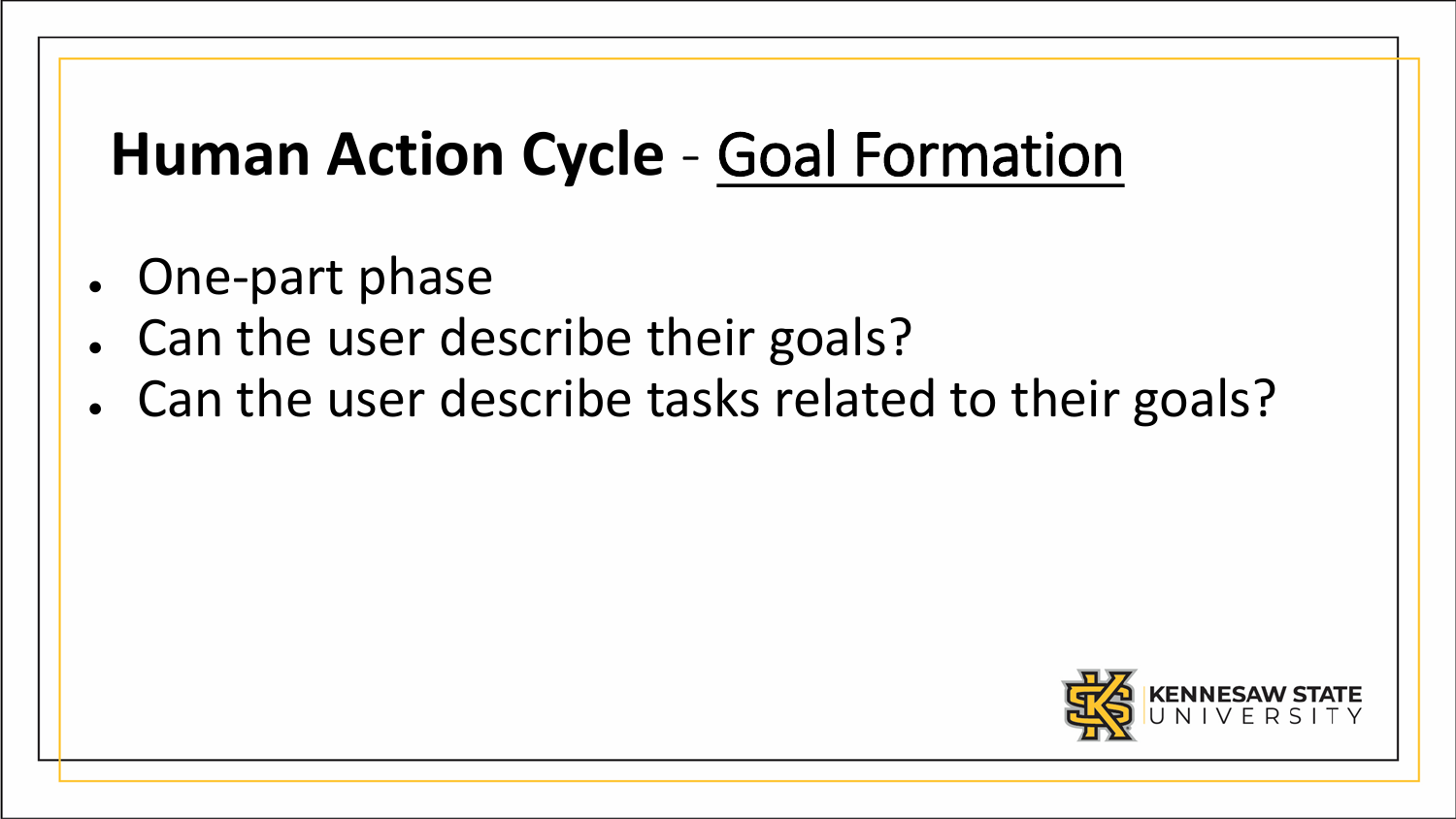# **Human Action Cycle** - Goal Formation

- One-part phase
- Can the user describe their goals?
- Can the user describe tasks related to their goals?

![](_page_25_Picture_4.jpeg)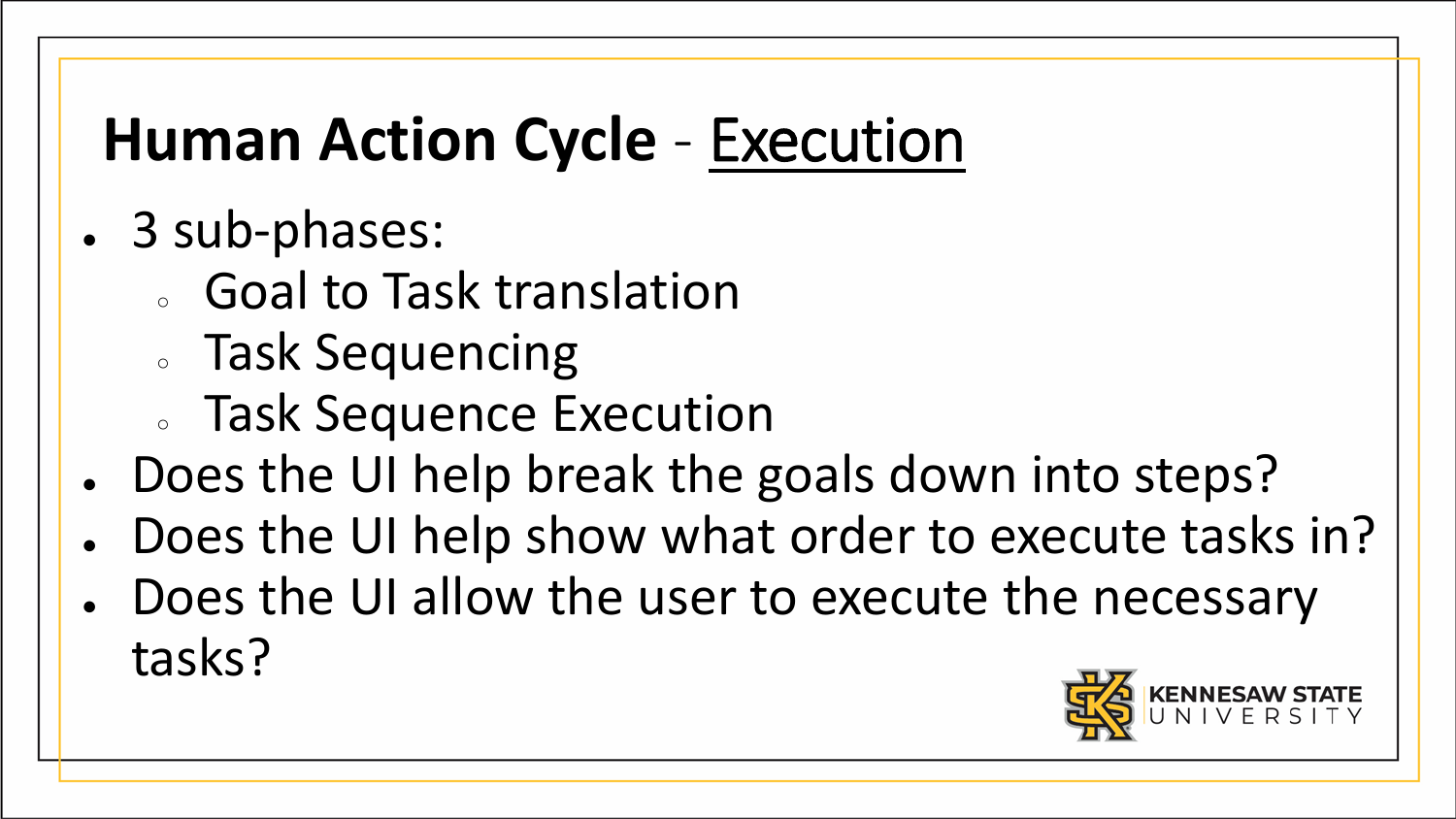# **Human Action Cycle** - Execution

- 3 sub-phases:
	- Goal to Task translation
	- Task Sequencing
	- Task Sequence Execution
- Does the UI help break the goals down into steps?
- Does the UI help show what order to execute tasks in?
- Does the UI allow the user to execute the necessary tasks?

![](_page_26_Picture_8.jpeg)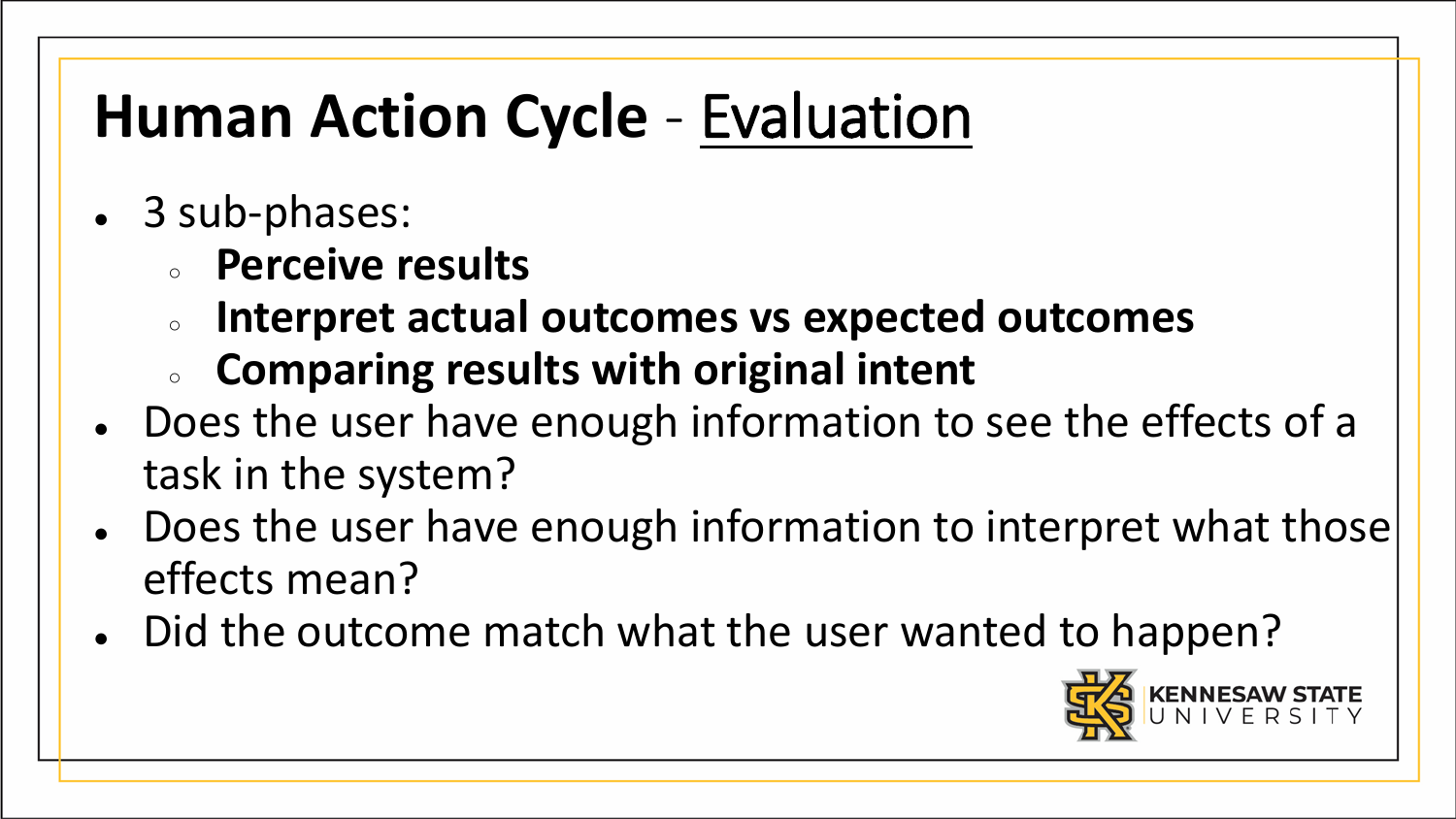# **Human Action Cycle** - Evaluation

- 3 sub-phases:
	- **Perceive results**
	- **Interpret actual outcomes vs expected outcomes**
	- **Comparing results with original intent**
- Does the user have enough information to see the effects of a task in the system?
- Does the user have enough information to interpret what those effects mean?
- Did the outcome match what the user wanted to happen?

![](_page_27_Picture_8.jpeg)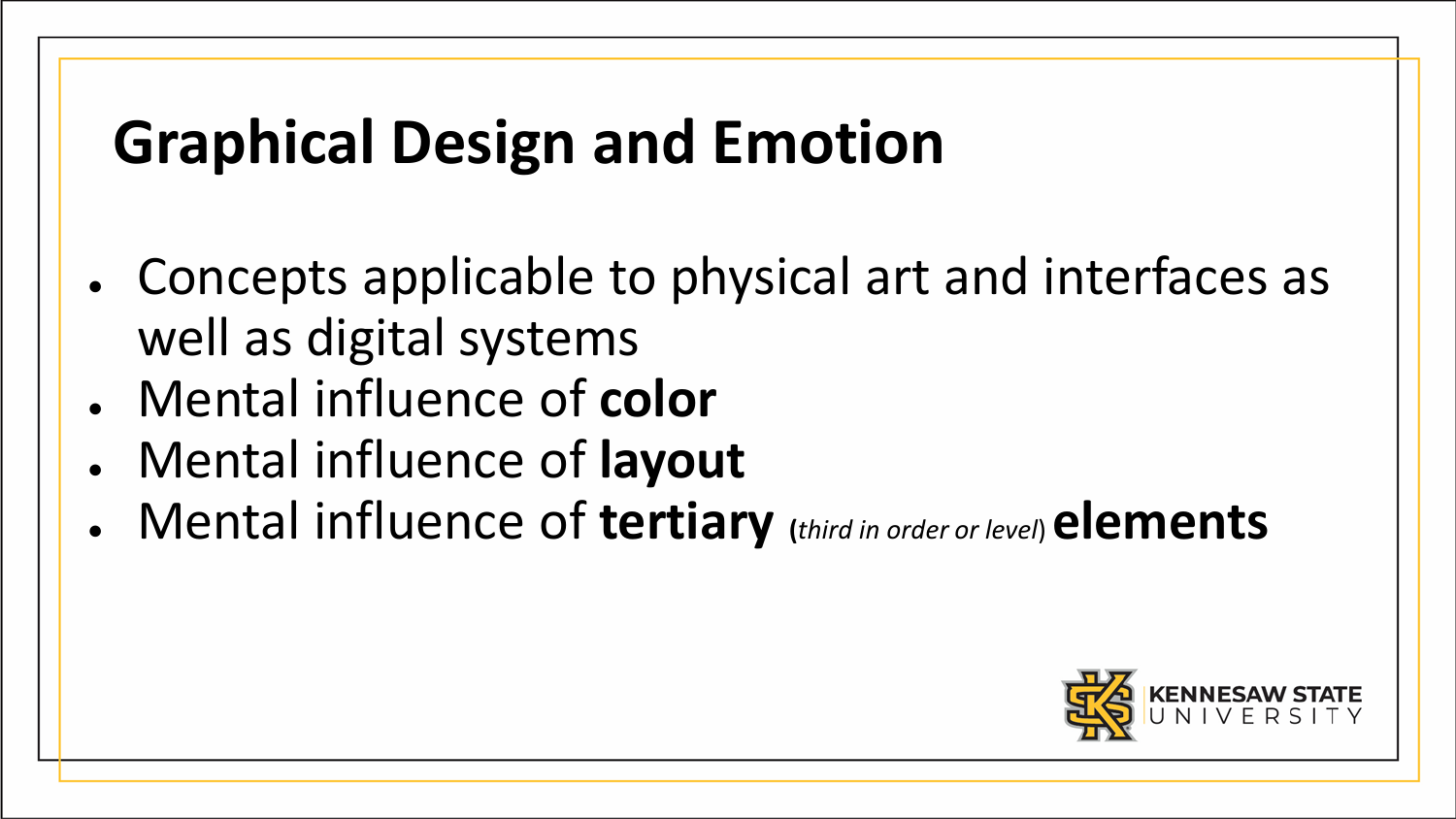- Concepts applicable to physical art and interfaces as well as digital systems
- Mental influence of **color**
- Mental influence of **layout**
- Mental influence of **tertiary (***third in order or level*) **elements**

![](_page_28_Picture_5.jpeg)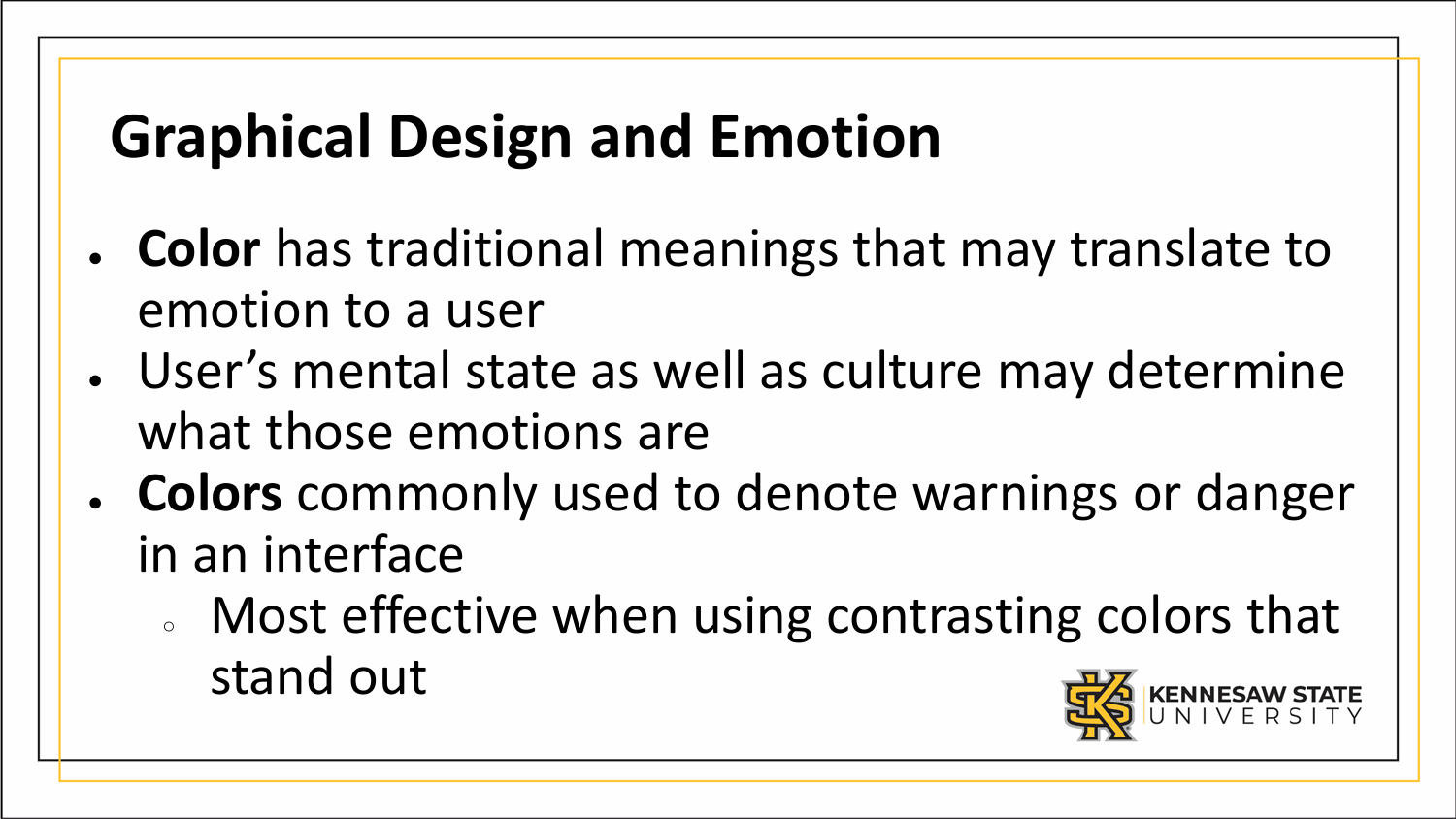- **Color** has traditional meanings that may translate to emotion to a user
- User's mental state as well as culture may determine what those emotions are
- Colors commonly used to denote warnings or danger in an interface
	- Most effective when using contrasting colors that stand out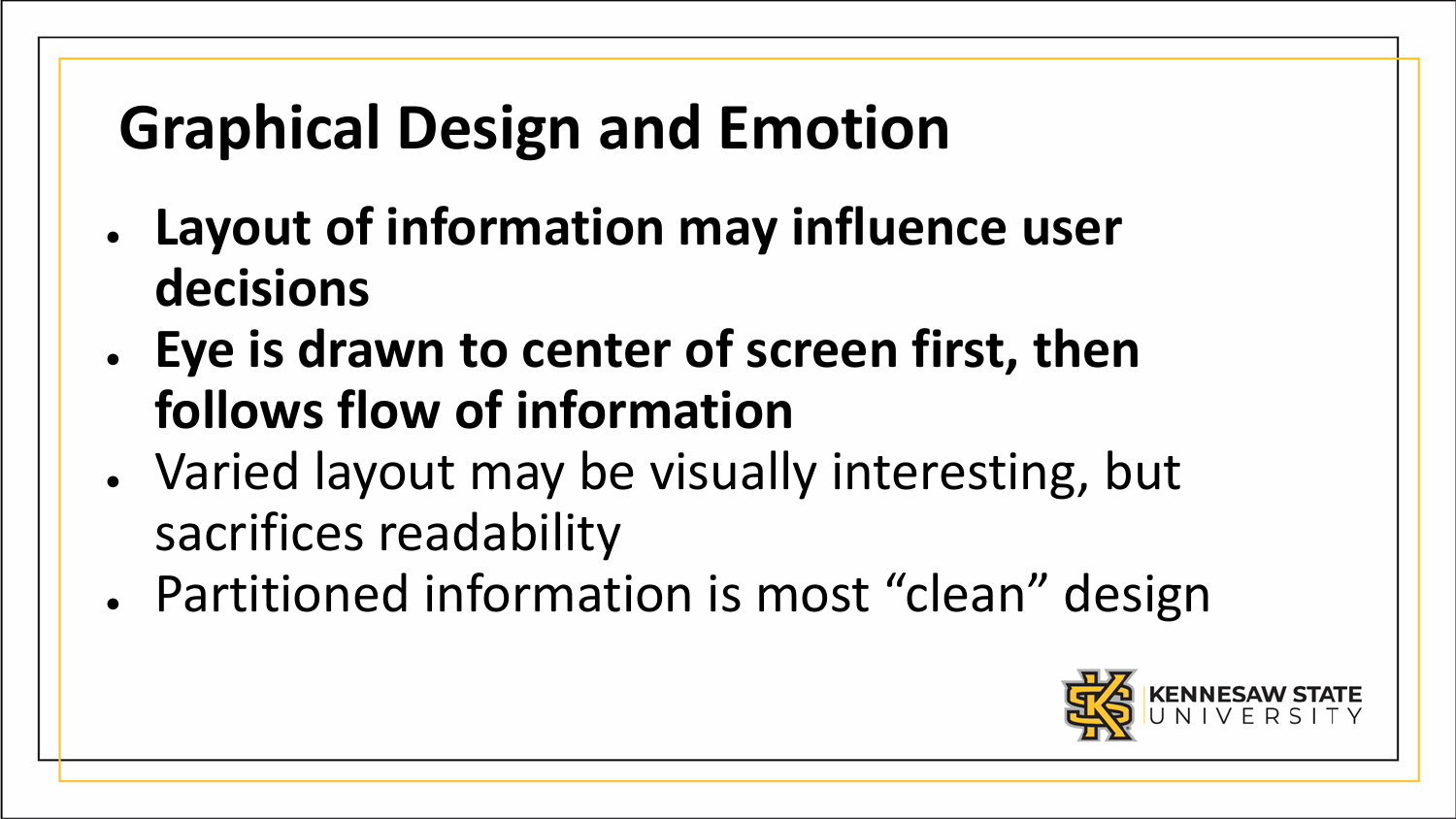- **Layout of information may influence user decisions**
- **Eye is drawn to center of screen first, then follows flow of information**
- Varied layout may be visually interesting, but sacrifices readability
- Partitioned information is most "clean" design

![](_page_30_Picture_5.jpeg)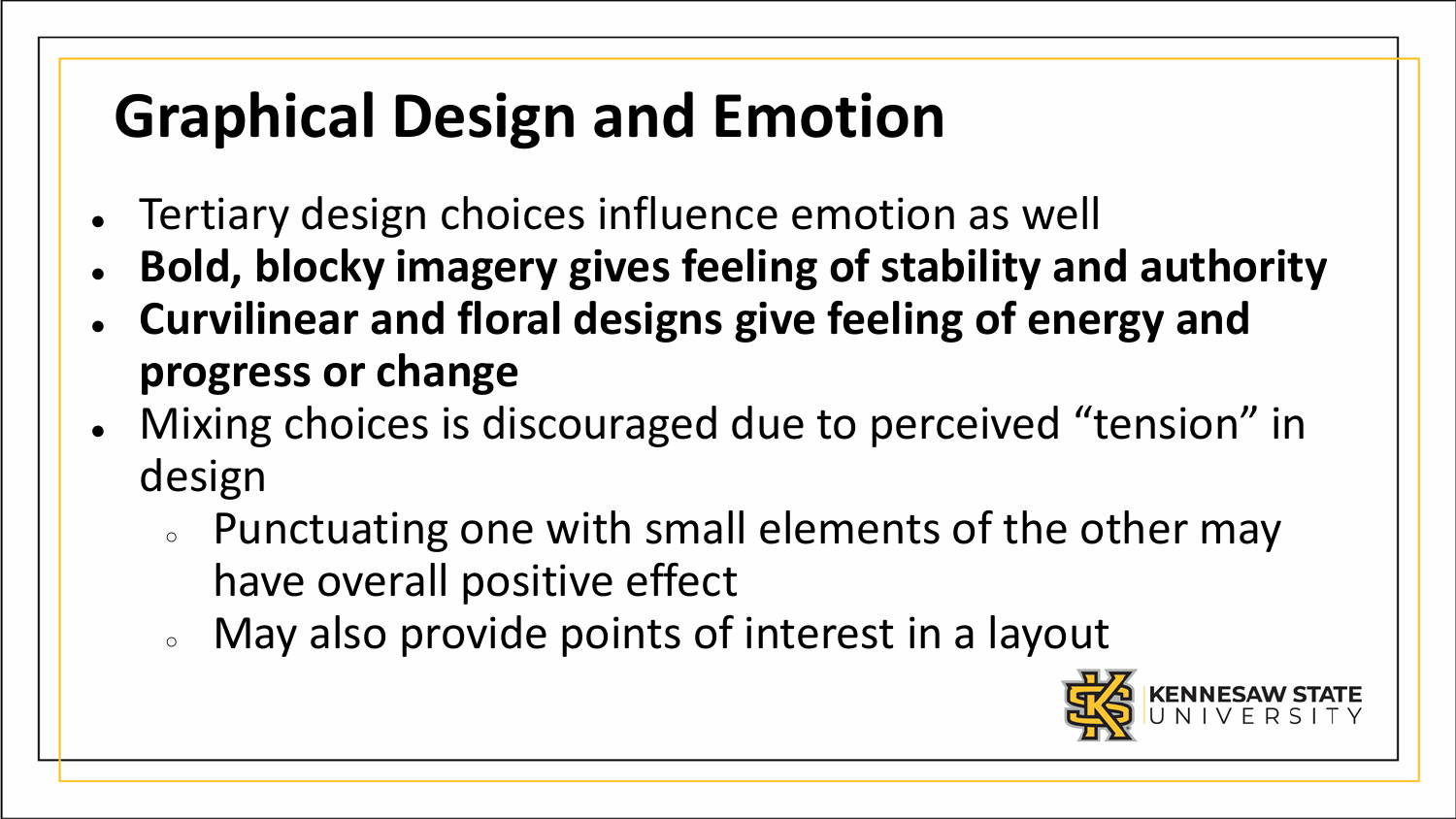- Tertiary design choices influence emotion as well
- **Bold, blocky imagery gives feeling of stability and authority**
- **Curvilinear and floral designs give feeling of energy and progress or change**
- Mixing choices is discouraged due to perceived "tension" in design
	- Punctuating one with small elements of the other may have overall positive effect
	- May also provide points of interest in a layout

![](_page_31_Picture_7.jpeg)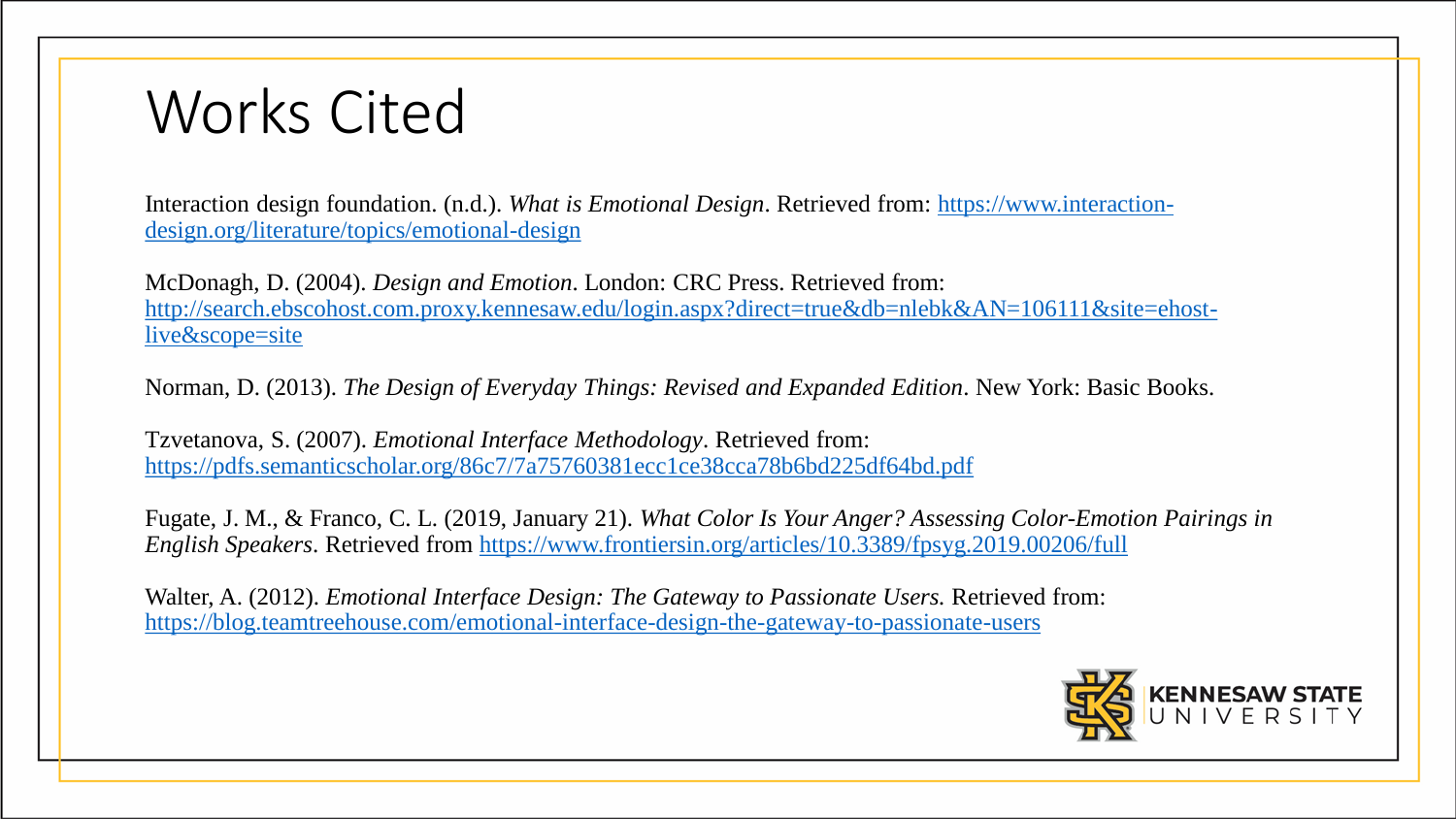#### Works Cited

Interaction design foundation. (n.d.). *What is Emotional Design*. Retrieved from: https://www.interaction[design.org/literature/topics/emotional-design](https://www.interaction-design.org/literature/topics/emotional-design)

McDonagh, D. (2004). *Design and Emotion*. London: CRC Press. Retrieved from: [http://search.ebscohost.com.proxy.kennesaw.edu/login.aspx?direct=true&db=nlebk&AN=106111&site=ehost](http://search.ebscohost.com.proxy.kennesaw.edu/login.aspx?direct=true&db=nlebk&AN=106111&site=ehost-live&scope=site)live&scope=site

Norman, D. (2013). *The Design of Everyday Things: Revised and Expanded Edition*. New York: Basic Books.

Tzvetanova, S. (2007). *Emotional Interface Methodology*. Retrieved from: <https://pdfs.semanticscholar.org/86c7/7a75760381ecc1ce38cca78b6bd225df64bd.pdf>

Fugate, J. M., & Franco, C. L. (2019, January 21). *What Color Is Your Anger? Assessing Color-Emotion Pairings in English Speakers*. Retrieved from <https://www.frontiersin.org/articles/10.3389/fpsyg.2019.00206/full>

Walter, A. (2012). *Emotional Interface Design: The Gateway to Passionate Users.* Retrieved from: <https://blog.teamtreehouse.com/emotional-interface-design-the-gateway-to-passionate-users>

![](_page_32_Picture_7.jpeg)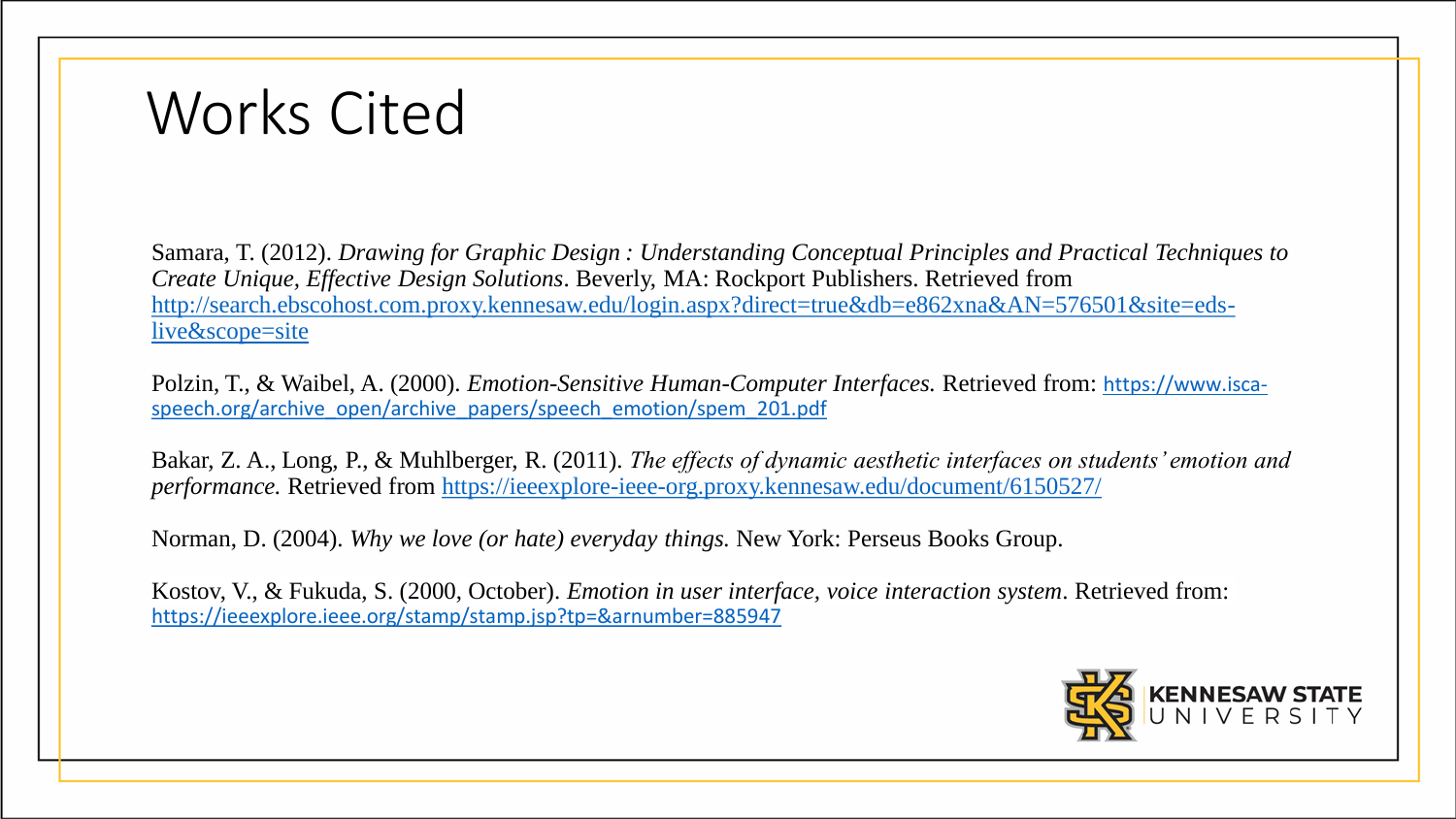#### Works Cited

Samara, T. (2012). *Drawing for Graphic Design : Understanding Conceptual Principles and Practical Techniques to Create Unique, Effective Design Solutions*. Beverly, MA: Rockport Publishers. Retrieved from [http://search.ebscohost.com.proxy.kennesaw.edu/login.aspx?direct=true&db=e862xna&AN=576501&site=eds](http://search.ebscohost.com.proxy.kennesaw.edu/login.aspx?direct=true&db=e862xna&AN=576501&site=eds-live&scope=site)live&scope=site

Polzin, T., & Waibel, A. (2000). *Emotion-Sensitive Human-Computer Interfaces.* Retrieved from: https://www.isca[speech.org/archive\\_open/archive\\_papers/speech\\_emotion/spem\\_201.pdf](https://www.isca-speech.org/archive_open/archive_papers/speech_emotion/spem_201.pdf)

Bakar, Z. A., Long, P., & Muhlberger, R. (2011). *The effects of dynamic aesthetic interfaces on students' emotion and performance.* Retrieved from [https://ieeexplore-ieee-org.proxy.kennesaw.edu/document/6150527/](https://ieeexplore-ieee-org.proxy.kennesaw.edu/document/6150527/citations?tabFilter=papers#citations)

Norman, D. (2004). *Why we love (or hate) everyday things.* New York: Perseus Books Group.

Kostov, V., & Fukuda, S. (2000, October). *Emotion in user interface, voice interaction system*. Retrieved from: <https://ieeexplore.ieee.org/stamp/stamp.jsp?tp=&arnumber=885947>

![](_page_33_Picture_6.jpeg)